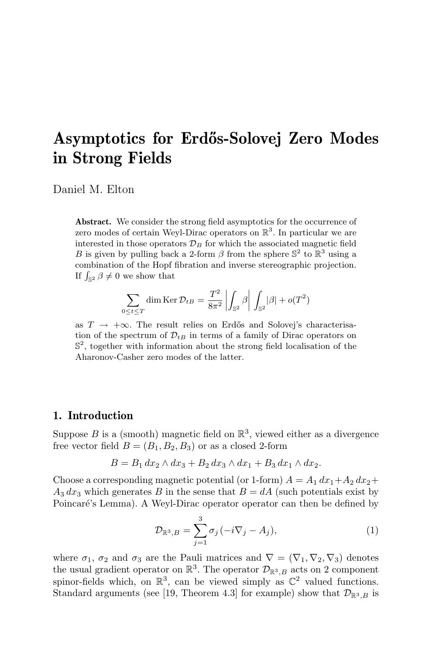# Asymptotics for Erd˝os-Solovej Zero Modes in Strong Fields

Daniel M. Elton

Abstract. We consider the strong field asymptotics for the occurrence of zero modes of certain Weyl-Dirac operators on  $\mathbb{R}^3$ . In particular we are interested in those operators  $\mathcal{D}_B$  for which the associated magnetic field B is given by pulling back a 2-form  $\beta$  from the sphere  $\mathbb{S}^2$  to  $\mathbb{R}^3$  using a combination of the Hopf fibration and inverse stereographic projection. If  $\int_{\mathbb{S}^2} \beta \neq 0$  we show that

$$
\sum_{0 \le t \le T} \dim \operatorname{Ker} \mathcal{D}_{tB} = \frac{T^2}{8\pi^2} \left| \int_{\mathbb{S}^2} \beta \right| \int_{\mathbb{S}^2} |\beta| + o(T^2)
$$

as  $T \rightarrow +\infty$ . The result relies on Erdős and Solovej's characterisation of the spectrum of  $\mathcal{D}_{tB}$  in terms of a family of Dirac operators on  $\mathbb{S}^2$ , together with information about the strong field localisation of the Aharonov-Casher zero modes of the latter.

#### 1. Introduction

Suppose B is a (smooth) magnetic field on  $\mathbb{R}^3$ , viewed either as a divergence free vector field  $B = (B_1, B_2, B_3)$  or as a closed 2-form

$$
B = B_1 dx_2 \wedge dx_3 + B_2 dx_3 \wedge dx_1 + B_3 dx_1 \wedge dx_2.
$$

Choose a corresponding magnetic potential (or 1-form)  $A = A_1 dx_1 + A_2 dx_2 +$  $A_3 dx_3$  which generates B in the sense that  $B = dA$  (such potentials exist by Poincaré's Lemma). A Weyl-Dirac operator operator can then be defined by

$$
\mathcal{D}_{\mathbb{R}^3,B} = \sum_{j=1}^3 \sigma_j (-i\nabla_j - A_j),\tag{1}
$$

where  $\sigma_1$ ,  $\sigma_2$  and  $\sigma_3$  are the Pauli matrices and  $\nabla = (\nabla_1, \nabla_2, \nabla_3)$  denotes the usual gradient operator on  $\mathbb{R}^3$ . The operator  $\mathcal{D}_{\mathbb{R}^3,B}$  acts on 2 component spinor-fields which, on  $\mathbb{R}^3$ , can be viewed simply as  $\mathbb{C}^2$  valued functions. Standard arguments (see [19, Theorem 4.3] for example) show that  $\mathcal{D}_{\mathbb{R}^3,B}$  is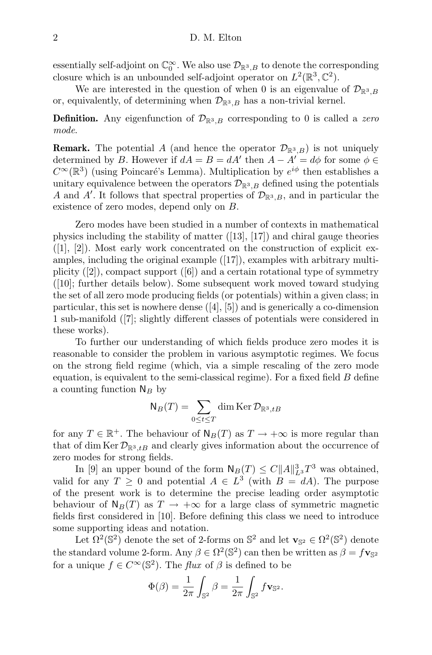essentially self-adjoint on  $\mathbb{C}_0^{\infty}$ . We also use  $\mathcal{D}_{\mathbb{R}^3,B}$  to denote the corresponding closure which is an unbounded self-adjoint operator on  $L^2(\mathbb{R}^3, \mathbb{C}^2)$ .

We are interested in the question of when 0 is an eigenvalue of  $\mathcal{D}_{\mathbb{R}^3,B}$ or, equivalently, of determining when  $\mathcal{D}_{\mathbb{R}^3,B}$  has a non-trivial kernel.

**Definition.** Any eigenfunction of  $\mathcal{D}_{\mathbb{R}^3,B}$  corresponding to 0 is called a zero mode.

**Remark.** The potential A (and hence the operator  $\mathcal{D}_{\mathbb{R}^3,B}$ ) is not uniquely determined by B. However if  $dA = B = dA'$  then  $A - A' = d\phi$  for some  $\phi \in \mathcal{A}$  $C^{\infty}(\mathbb{R}^{3})$  (using Poincaré's Lemma). Multiplication by  $e^{i\phi}$  then establishes a unitary equivalence between the operators  $\mathcal{D}_{\mathbb{R}^3,B}$  defined using the potentials A and A'. It follows that spectral properties of  $\mathcal{D}_{\mathbb{R}^3,B}$ , and in particular the existence of zero modes, depend only on B.

Zero modes have been studied in a number of contexts in mathematical physics including the stability of matter ([13], [17]) and chiral gauge theories  $([1], [2])$ . Most early work concentrated on the construction of explicit examples, including the original example ([17]), examples with arbitrary multiplicity  $([2])$ , compact support  $([6])$  and a certain rotational type of symmetry ([10]; further details below). Some subsequent work moved toward studying the set of all zero mode producing fields (or potentials) within a given class; in particular, this set is nowhere dense ([4], [5]) and is generically a co-dimension 1 sub-manifold ([7]; slightly different classes of potentials were considered in these works).

To further our understanding of which fields produce zero modes it is reasonable to consider the problem in various asymptotic regimes. We focus on the strong field regime (which, via a simple rescaling of the zero mode equation, is equivalent to the semi-classical regime). For a fixed field  $B$  define a counting function  $N_B$  by

$$
\mathsf{N}_B(T)=\sum_{0\leq t\leq T}\dim \operatorname{Ker}\mathcal{D}_{\mathbb{R}^3,tB}
$$

for any  $T \in \mathbb{R}^+$ . The behaviour of  $N_B(T)$  as  $T \to +\infty$  is more regular than that of dim Ker  $\mathcal{D}_{\mathbb{R}^3,tB}$  and clearly gives information about the occurrence of zero modes for strong fields.

In [9] an upper bound of the form  $\mathsf{N}_B(T) \leq C ||A||_{L^3}^3 T^3$  was obtained, valid for any  $T \geq 0$  and potential  $A \in L^3$  (with  $B = dA$ ). The purpose of the present work is to determine the precise leading order asymptotic behaviour of  $N_B(T)$  as  $T \to +\infty$  for a large class of symmetric magnetic fields first considered in [10]. Before defining this class we need to introduce some supporting ideas and notation.

Let  $\Omega^2(\mathbb{S}^2)$  denote the set of 2-forms on  $\mathbb{S}^2$  and let  $\mathbf{v}_{\mathbb{S}^2} \in \Omega^2(\mathbb{S}^2)$  denote the standard volume 2-form. Any  $\beta \in \Omega^2(\mathbb{S}^2)$  can then be written as  $\beta = f_{\mathbf{V}_{\mathbb{S}^2}}$ for a unique  $f \in C^{\infty}(\mathbb{S}^2)$ . The *flux* of  $\beta$  is defined to be

$$
\Phi(\beta) = \frac{1}{2\pi} \int_{\mathbb{S}^2} \beta = \frac{1}{2\pi} \int_{\mathbb{S}^2} f \mathbf{v}_{\mathbb{S}^2}.
$$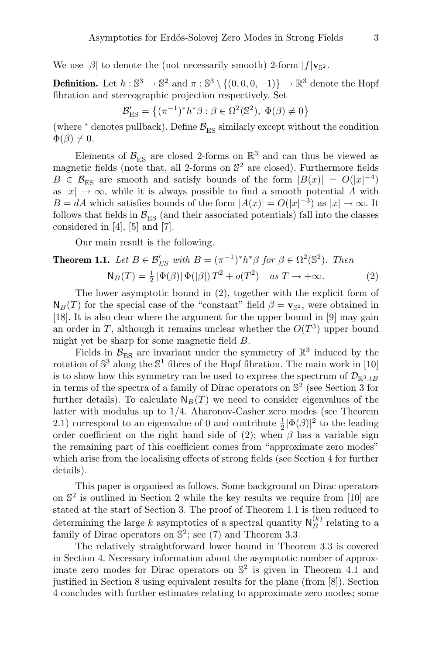We use | $\beta$ | to denote the (not necessarily smooth) 2-form  $|f|_{\mathbf{V}_{\mathbb{S}^2}}$ .

**Definition.** Let  $h: \mathbb{S}^3 \to \mathbb{S}^2$  and  $\pi: \mathbb{S}^3 \setminus \{(0,0,0,-1)\} \to \mathbb{R}^3$  denote the Hopf fibration and stereographic projection respectively. Set

$$
\mathcal{B}'_{\text{ES}} = \left\{ (\pi^{-1})^* h^* \beta : \beta \in \Omega^2(\mathbb{S}^2), \ \Phi(\beta) \neq 0 \right\}
$$

(where  $*$  denotes pullback). Define  $\mathcal{B}_{\text{ES}}$  similarly except without the condition  $\Phi(\beta) \neq 0.$ 

Elements of  $\mathcal{B}_{ES}$  are closed 2-forms on  $\mathbb{R}^3$  and can thus be viewed as magnetic fields (note that, all 2-forms on  $\mathbb{S}^2$  are closed). Furthermore fields  $B \in \mathcal{B}_{\text{ES}}$  are smooth and satisfy bounds of the form  $|B(x)| = O(|x|^{-4})$ as  $|x| \to \infty$ , while it is always possible to find a smooth potential A with  $B = dA$  which satisfies bounds of the form  $|A(x)| = O(|x|^{-3})$  as  $|x| \to \infty$ . It follows that fields in  $\mathcal{B}_{ES}$  (and their associated potentials) fall into the classes considered in [4], [5] and [7].

Our main result is the following.

## **Theorem 1.1.** Let  $B \in \mathcal{B}_{ES}'$  with  $B = (\pi^{-1})^* h^* \beta$  for  $\beta \in \Omega^2(\mathbb{S}^2)$ . Then  $N_B(T) = \frac{1}{2} |\Phi(\beta)| |\Phi(|\beta|) T^2 + o(T^2) \quad \text{as } T \to +\infty.$  (2)

The lower asymptotic bound in (2), together with the explicit form of  $N_B(T)$  for the special case of the "constant" field  $\beta = \mathbf{v}_{\mathbb{S}^2}$ , were obtained in [18]. It is also clear where the argument for the upper bound in [9] may gain an order in T, although it remains unclear whether the  $O(T^3)$  upper bound might yet be sharp for some magnetic field B.

Fields in  $\mathcal{B}_{ES}$  are invariant under the symmetry of  $\mathbb{R}^3$  induced by the rotation of  $\mathbb{S}^3$  along the  $\mathbb{S}^1$  fibres of the Hopf fibration. The main work in [10] is to show how this symmetry can be used to express the spectrum of  $\mathcal{D}_{\mathbb{R}^3,tB}$ in terms of the spectra of a family of Dirac operators on  $\mathbb{S}^2$  (see Section 3 for further details). To calculate  $N_B(T)$  we need to consider eigenvalues of the latter with modulus up to 1/4. Aharonov-Casher zero modes (see Theorem 2.1) correspond to an eigenvalue of 0 and contribute  $\frac{1}{2}|\Phi(\beta)|^2$  to the leading order coefficient on the right hand side of (2); when  $\beta$  has a variable sign the remaining part of this coefficient comes from "approximate zero modes" which arise from the localising effects of strong fields (see Section 4 for further details).

This paper is organised as follows. Some background on Dirac operators on S 2 is outlined in Section 2 while the key results we require from [10] are stated at the start of Section 3. The proof of Theorem 1.1 is then reduced to determining the large  $k$  asymptotics of a spectral quantity  $\mathsf{N}_{B}^{(k)}$  relating to a family of Dirac operators on  $\mathbb{S}^2$ ; see (7) and Theorem 3.3.

The relatively straightforward lower bound in Theorem 3.3 is covered in Section 4. Necessary information about the asymptotic number of approximate zero modes for Dirac operators on  $\mathbb{S}^2$  is given in Theorem 4.1 and justified in Section 8 using equivalent results for the plane (from [8]). Section 4 concludes with further estimates relating to approximate zero modes; some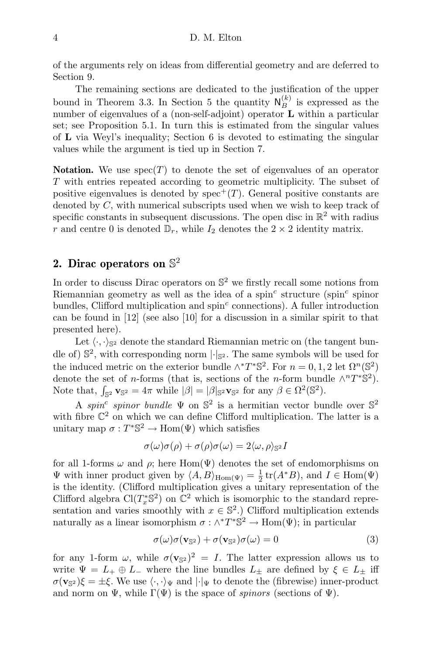of the arguments rely on ideas from differential geometry and are deferred to Section 9.

The remaining sections are dedicated to the justification of the upper bound in Theorem 3.3. In Section 5 the quantity  $N_B^{(k)}$  is expressed as the number of eigenvalues of a (non-self-adjoint) operator **L** within a particular set; see Proposition 5.1. In turn this is estimated from the singular values of L via Weyl's inequality; Section 6 is devoted to estimating the singular values while the argument is tied up in Section 7.

**Notation.** We use  $spec(T)$  to denote the set of eigenvalues of an operator T with entries repeated according to geometric multiplicity. The subset of positive eigenvalues is denoted by  $spec^{+}(T)$ . General positive constants are denoted by  $C$ , with numerical subscripts used when we wish to keep track of specific constants in subsequent discussions. The open disc in  $\mathbb{R}^2$  with radius r and centre 0 is denoted  $\mathbb{D}_r$ , while  $I_2$  denotes the  $2 \times 2$  identity matrix.

## 2. Dirac operators on  $\mathbb{S}^2$

In order to discuss Dirac operators on  $\mathbb{S}^2$  we firstly recall some notions from Riemannian geometry as well as the idea of a spin<sup>c</sup> structure (spin<sup>c</sup> spinor bundles, Clifford multiplication and  $spin<sup>c</sup>$  connections). A fuller introduction can be found in [12] (see also [10] for a discussion in a similar spirit to that presented here).

Let  $\langle \cdot, \cdot \rangle_{\mathbb{S}^2}$  denote the standard Riemannian metric on (the tangent bundle of)  $\mathbb{S}^2$ , with corresponding norm  $|\cdot|_{\mathbb{S}^2}$ . The same symbols will be used for the induced metric on the exterior bundle  $\wedge^* T^* \mathbb{S}^2$ . For  $n = 0, 1, 2$  let  $\Omega^n(\mathbb{S}^2)$ denote the set of *n*-forms (that is, sections of the *n*-form bundle  $\wedge^n T^* \mathbb{S}^2$ ). Note that,  $\int_{\mathbb{S}^2} \mathbf{v}_{\mathbb{S}^2} = 4\pi$  while  $|\beta| = |\beta|_{\mathbb{S}^2} \mathbf{v}_{\mathbb{S}^2}$  for any  $\beta \in \Omega^2(\mathbb{S}^2)$ .

A spin<sup>c</sup> spinor bundle  $\Psi$  on  $\mathbb{S}^2$  is a hermitian vector bundle over  $\mathbb{S}^2$ with fibre  $\mathbb{C}^2$  on which we can define Clifford multiplication. The latter is a unitary map  $\sigma: T^* \mathbb{S}^2 \to \text{Hom}(\Psi)$  which satisfies

$$
\sigma(\omega)\sigma(\rho) + \sigma(\rho)\sigma(\omega) = 2\langle \omega, \rho \rangle_{\mathbb{S}^2}I
$$

for all 1-forms  $\omega$  and  $\rho$ ; here Hom( $\Psi$ ) denotes the set of endomorphisms on  $\Psi$  with inner product given by  $\langle A, B \rangle_{\text{Hom}(\Psi)} = \frac{1}{2} \text{tr}(A^*B)$ , and  $I \in \text{Hom}(\Psi)$ is the identity. (Clifford multiplication gives a unitary representation of the Clifford algebra  $Cl(T_x^*S^2)$  on  $\mathbb{C}^2$  which is isomorphic to the standard representation and varies smoothly with  $x \in \mathbb{S}^2$ .) Clifford multiplication extends naturally as a linear isomorphism  $\sigma : \wedge^* T^* \mathbb{S}^2 \to \text{Hom}(\Psi)$ ; in particular

$$
\sigma(\omega)\sigma(\mathbf{v}_{\mathbb{S}^2}) + \sigma(\mathbf{v}_{\mathbb{S}^2})\sigma(\omega) = 0 \tag{3}
$$

for any 1-form  $\omega$ , while  $\sigma(\mathbf{v}_{s})^2 = I$ . The latter expression allows us to write  $\Psi = L_+ \oplus L_-$  where the line bundles  $L_+$  are defined by  $\xi \in L_+$  iff  $\sigma(\mathbf{v}_{\mathbb{S}^2})\xi = \pm \xi$ . We use  $\langle \cdot, \cdot \rangle_{\Psi}$  and  $|\cdot|_{\Psi}$  to denote the (fibrewise) inner-product and norm on  $\Psi$ , while  $\Gamma(\Psi)$  is the space of spinors (sections of  $\Psi$ ).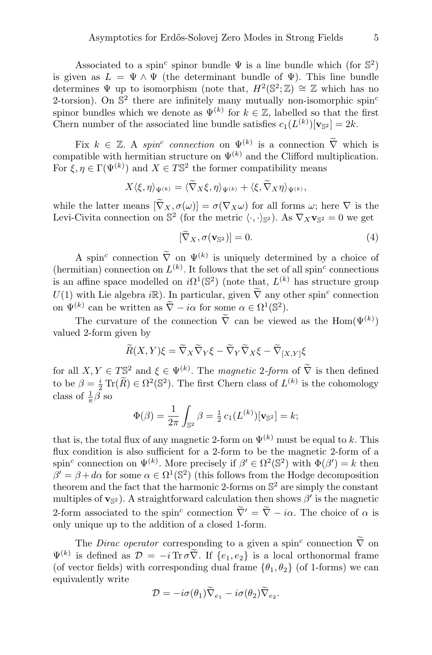Associated to a spin<sup>c</sup> spinor bundle  $\Psi$  is a line bundle which (for  $\mathbb{S}^2$ ) is given as  $L = \Psi \wedge \Psi$  (the determinant bundle of  $\Psi$ ). This line bundle determines  $\Psi$  up to isomorphism (note that,  $H^2(\mathbb{S}^2;\mathbb{Z})\cong \mathbb{Z}$  which has no 2-torsion). On  $\mathbb{S}^2$  there are infinitely many mutually non-isomorphic spin<sup>c</sup> spinor bundles which we denote as  $\Psi^{(k)}$  for  $k \in \mathbb{Z}$ , labelled so that the first Chern number of the associated line bundle satisfies  $c_1(L^{(k)})[\mathbf{v}_{\mathbb{S}^2}] = 2k$ .

Fix  $k \in \mathbb{Z}$ . A spin<sup>c</sup> connection on  $\Psi^{(k)}$  is a connection  $\tilde{\nabla}$  which is compatible with hermitian structure on  $\Psi^{(k)}$  and the Clifford multiplication. For  $\xi, \eta \in \Gamma(\Psi^{(k)})$  and  $X \in T\mathbb{S}^2$  the former compatibility means

$$
X\langle \xi, \eta \rangle_{\Psi^{(k)}} = \langle \widetilde{\nabla}_X \xi, \eta \rangle_{\Psi^{(k)}} + \langle \xi, \widetilde{\nabla}_X \eta \rangle_{\Psi^{(k)}},
$$

while the latter means  $[\tilde{\nabla}_X, \sigma(\omega)] = \sigma(\nabla_X \omega)$  for all forms  $\omega$ ; here  $\nabla$  is the Levi-Civita connection on  $\mathbb{S}^2$  (for the metric  $\langle \cdot, \cdot \rangle_{\mathbb{S}^2}$ ). As  $\nabla_X \mathbf{v}_{\mathbb{S}^2} = 0$  we get

$$
[\nabla_X, \sigma(\mathbf{v}_{\mathbb{S}^2})] = 0. \tag{4}
$$

A spin<sup>c</sup> connection  $\nabla$  on  $\Psi^{(k)}$  is uniquely determined by a choice of (hermitian) connection on  $L^{(k)}$ . It follows that the set of all spin<sup>c</sup> connections is an affine space modelled on  $i\Omega^1(\mathbb{S}^2)$  (note that,  $L^{(k)}$  has structure group  $U(1)$  with Lie algebra  $i\mathbb{R}$ ). In particular, given  $\tilde{\nabla}$  any other spin<sup>c</sup> connection on  $\Psi^{(k)}$  can be written as  $\widetilde{\nabla} - i\alpha$  for some  $\alpha \in \Omega^1(\mathbb{S}^2)$ .

The curvature of the connection  $\overline{\nabla}$  can be viewed as the Hom $(\Psi^{(k)})$ valued 2-form given by

$$
\widetilde{R}(X,Y)\xi = \widetilde{\nabla}_X \widetilde{\nabla}_Y \xi - \widetilde{\nabla}_Y \widetilde{\nabla}_X \xi - \widetilde{\nabla}_{[X,Y]}\xi
$$

for all  $X, Y \in T\mathbb{S}^2$  and  $\xi \in \Psi^{(k)}$ . The magnetic 2-form of  $\widetilde{\nabla}$  is then defined to be  $\beta = \frac{i}{2} \text{Tr}(\tilde{R}) \in \Omega^2(\mathbb{S}^2)$ . The first Chern class of  $L^{(k)}$  is the cohomology class of  $\frac{1}{\pi}\beta$  so

$$
\Phi(\beta) = \frac{1}{2\pi} \int_{\mathbb{S}^2} \beta = \frac{1}{2} c_1(L^{(k)}) [\mathbf{v}_{\mathbb{S}^2}] = k;
$$

that is, the total flux of any magnetic 2-form on  $\Psi^{(k)}$  must be equal to k. This flux condition is also sufficient for a 2-form to be the magnetic 2-form of a spin<sup>c</sup> connection on  $\Psi^{(k)}$ . More precisely if  $\beta' \in \Omega^2(\mathbb{S}^2)$  with  $\Phi(\beta') = k$  then  $\beta' = \beta + d\alpha$  for some  $\alpha \in \Omega^1(\mathbb{S}^2)$  (this follows from the Hodge decomposition theorem and the fact that the harmonic 2-forms on  $\mathbb{S}^2$  are simply the constant multiples of  $\mathbf{v}_{\mathbb{S}^2}$ ). A straightforward calculation then shows  $\beta'$  is the magnetic 2-form associated to the spin<sup>c</sup> connection  $\overline{\nabla}' = \overline{\nabla} - i\alpha$ . The choice of  $\alpha$  is only unique up to the addition of a closed 1-form.

The *Dirac operator* corresponding to a given a spin<sup>c</sup> connection  $\tilde{\nabla}$  on  $\Psi^{(k)}$  is defined as  $\mathcal{D} = -i \operatorname{Tr} \sigma \widetilde{\nabla}$ . If  $\{e_1, e_2\}$  is a local orthonormal frame (of vector fields) with corresponding dual frame  $\{\theta_1, \theta_2\}$  (of 1-forms) we can equivalently write

$$
\mathcal{D} = -i\sigma(\theta_1)\widetilde{\nabla}_{e_1} - i\sigma(\theta_2)\widetilde{\nabla}_{e_2}.
$$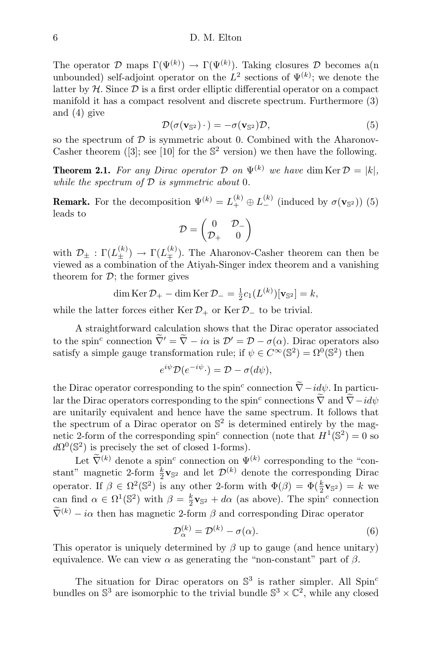The operator  $\mathcal D$  maps  $\Gamma(\Psi^{(k)}) \to \Gamma(\Psi^{(k)})$ . Taking closures  $\mathcal D$  becomes a(n unbounded) self-adjoint operator on the  $L^2$  sections of  $\Psi^{(k)}$ ; we denote the latter by  $H$ . Since  $D$  is a first order elliptic differential operator on a compact manifold it has a compact resolvent and discrete spectrum. Furthermore (3) and (4) give

$$
\mathcal{D}(\sigma(\mathbf{v}_{\mathbb{S}^2})\cdot) = -\sigma(\mathbf{v}_{\mathbb{S}^2})\mathcal{D},\tag{5}
$$

so the spectrum of  $D$  is symmetric about 0. Combined with the Aharonov-Casher theorem ([3]; see [10] for the  $\mathbb{S}^2$  version) we then have the following.

**Theorem 2.1.** For any Dirac operator D on  $\Psi^{(k)}$  we have dim Ker  $\mathcal{D} = |k|$ , while the spectrum of  $D$  is symmetric about 0.

**Remark.** For the decomposition  $\Psi^{(k)} = L_+^{(k)} \oplus L_-^{(k)}$  (induced by  $\sigma(\mathbf{v}_{\mathbb{S}^2})$ ) (5) leads to

$$
\mathcal{D} = \begin{pmatrix} 0 & \mathcal{D}_- \\ \mathcal{D}_+ & 0 \end{pmatrix}
$$

with  $\mathcal{D}_{\pm} : \Gamma(L_{\pm}^{(k)}) \to \Gamma(L_{\mp}^{(k)})$ . The Aharonov-Casher theorem can then be viewed as a combination of the Atiyah-Singer index theorem and a vanishing theorem for  $\mathcal{D}$ ; the former gives

$$
\dim \operatorname{Ker} \mathcal{D}_{+} - \dim \operatorname{Ker} \mathcal{D}_{-} = \frac{1}{2} c_{1}(L^{(k)})[\mathbf{v}_{\mathbb{S}^{2}}] = k,
$$

while the latter forces either Ker  $\mathcal{D}_+$  or Ker  $\mathcal{D}_-$  to be trivial.

A straightforward calculation shows that the Dirac operator associated to the spin<sup>c</sup> connection  $\nabla' = \nabla - i\alpha$  is  $\mathcal{D}' = \mathcal{D} - \sigma(\alpha)$ . Dirac operators also satisfy a simple gauge transformation rule; if  $\psi \in C^{\infty}(\mathbb{S}^2) = \Omega^0(\mathbb{S}^2)$  then

$$
e^{i\psi}\mathcal{D}(e^{-i\psi}\cdot) = \mathcal{D} - \sigma(d\psi),
$$

the Dirac operator corresponding to the spin<sup>c</sup> connection  $\tilde{\nabla} - id\psi$ . In particular the Dirac operators corresponding to the spin<sup>c</sup> connections  $\nabla$  and  $\nabla - id\psi$ are unitarily equivalent and hence have the same spectrum. It follows that the spectrum of a Dirac operator on  $\mathbb{S}^2$  is determined entirely by the magnetic 2-form of the corresponding spin<sup>c</sup> connection (note that  $H^1(\mathbb{S}^2) = 0$  so  $d\Omega^{0}(\mathbb{S}^{2})$  is precisely the set of closed 1-forms).

Let  $\tilde{\nabla}^{(k)}$  denote a spin<sup>c</sup> connection on  $\Psi^{(k)}$  corresponding to the "constant" magnetic 2-form  $\frac{k}{2}v_{\mathbb{S}^2}$  and let  $\mathcal{D}^{(k)}$  denote the corresponding Dirac operator. If  $\beta \in \Omega^2(\mathbb{S}^2)$  is any other 2-form with  $\Phi(\beta) = \Phi(\frac{k}{2}\mathbf{v}_{\mathbb{S}^2}) = k$  we can find  $\alpha \in \Omega^1(\mathbb{S}^2)$  with  $\beta = \frac{k}{2}\mathbf{v}_{\mathbb{S}^2} + d\alpha$  (as above). The spin<sup>c</sup> connection  $\widetilde{\nabla}^{(k)} - i\alpha$  then has magnetic 2-form  $\beta$  and corresponding Dirac operator

$$
\mathcal{D}_{\alpha}^{(k)} = \mathcal{D}^{(k)} - \sigma(\alpha). \tag{6}
$$

This operator is uniquely determined by  $\beta$  up to gauge (and hence unitary) equivalence. We can view  $\alpha$  as generating the "non-constant" part of  $\beta$ .

The situation for Dirac operators on  $\mathbb{S}^3$  is rather simpler. All Spin<sup>c</sup> bundles on  $\mathbb{S}^3$  are isomorphic to the trivial bundle  $\mathbb{S}^3 \times \mathbb{C}^2$ , while any closed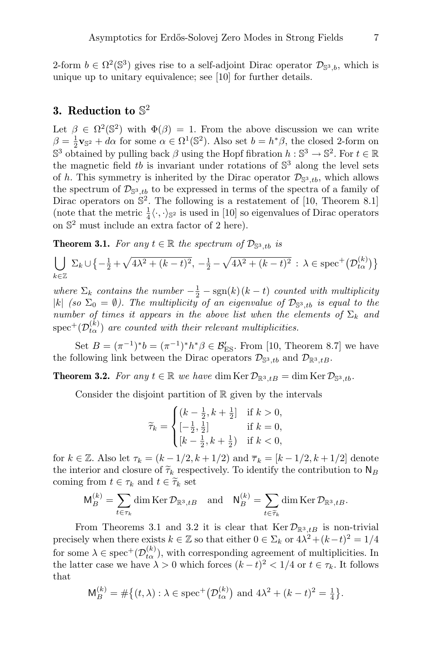2-form  $b \in \Omega^2(\mathbb{S}^3)$  gives rise to a self-adjoint Dirac operator  $\mathcal{D}_{\mathbb{S}^3,b}$ , which is unique up to unitary equivalence; see [10] for further details.

## 3. Reduction to  $\mathbb{S}^2$

Let  $\beta \in \Omega^2(\mathbb{S}^2)$  with  $\Phi(\beta) = 1$ . From the above discussion we can write  $\beta = \frac{1}{2}\mathbf{v}_{\mathbb{S}^2} + d\alpha$  for some  $\alpha \in \Omega^1(\mathbb{S}^2)$ . Also set  $b = h^*\beta$ , the closed 2-form on  $\mathbb{S}^3$  obtained by pulling back  $\beta$  using the Hopf fibration  $h: \mathbb{S}^3 \to \mathbb{S}^2$ . For  $t \in \mathbb{R}$ the magnetic field  $tb$  is invariant under rotations of  $\mathbb{S}^3$  along the level sets of h. This symmetry is inherited by the Dirac operator  $\mathcal{D}_{\mathbb{S}^3,tb}$ , which allows the spectrum of  $\mathcal{D}_{\mathbb{S}^3, tb}$  to be expressed in terms of the spectra of a family of Dirac operators on  $\mathbb{S}^2$ . The following is a restatement of [10, Theorem 8.1] (note that the metric  $\frac{1}{4}\langle \cdot, \cdot \rangle_{\mathbb{S}^2}$  is used in [10] so eigenvalues of Dirac operators on S <sup>2</sup> must include an extra factor of 2 here).

**Theorem 3.1.** For any  $t \in \mathbb{R}$  the spectrum of  $\mathcal{D}_{\mathbb{S}^3, tb}$  is

$$
\bigcup_{k \in \mathbb{Z}} \Sigma_k \cup \left\{ -\frac{1}{2} + \sqrt{4\lambda^2 + (k-t)^2}, -\frac{1}{2} - \sqrt{4\lambda^2 + (k-t)^2} \, : \, \lambda \in \text{spec}^+(\mathcal{D}_{t\alpha}^{(k)}) \right\}
$$

where  $\Sigma_k$  contains the number  $-\frac{1}{2} - \text{sgn}(k)(k-t)$  counted with multiplicity |k| (so  $\Sigma_0 = \emptyset$ ). The multiplicity of an eigenvalue of  $\mathcal{D}_{\mathbb{S}^3,tb}$  is equal to the number of times it appears in the above list when the elements of  $\Sigma_k$  and  $\text{spec}^{+}(\mathcal{D}_{t\alpha}^{(k)})$  are counted with their relevant multiplicities.

Set  $B = (\pi^{-1})^* b = (\pi^{-1})^* h^* \beta \in \mathcal{B}_{\text{ES}}'$ . From [10, Theorem 8.7] we have the following link between the Dirac operators  $\mathcal{D}_{\mathbb{S}^3, tb}$  and  $\mathcal{D}_{\mathbb{R}^3, tB}$ .

**Theorem 3.2.** For any  $t \in \mathbb{R}$  we have dim Ker  $\mathcal{D}_{\mathbb{R}^3, tB} = \dim \text{Ker } \mathcal{D}_{\mathbb{S}^3, tb}$ .

Consider the disjoint partition of  $\mathbb R$  given by the intervals

$$
\widetilde{\tau}_k = \begin{cases}\n(k - \frac{1}{2}, k + \frac{1}{2}] & \text{if } k > 0, \\
[-\frac{1}{2}, \frac{1}{2}] & \text{if } k = 0, \\
[k - \frac{1}{2}, k + \frac{1}{2}) & \text{if } k < 0,\n\end{cases}
$$

for  $k \in \mathbb{Z}$ . Also let  $\tau_k = (k-1/2, k+1/2)$  and  $\overline{\tau}_k = [k-1/2, k+1/2]$  denote the interior and closure of  $\widetilde{\tau}_k$  respectively. To identify the contribution to  $N_B$ coming from  $t \in \tau_k$  and  $t \in \widetilde{\tau}_k$  set

$$
\mathsf{M}_{B}^{(k)} = \sum_{t \in \tau_k} \dim \operatorname{Ker} \mathcal{D}_{\mathbb{R}^3, tB} \quad \text{and} \quad \mathsf{N}_{B}^{(k)} = \sum_{t \in \widetilde{\tau}_k} \dim \operatorname{Ker} \mathcal{D}_{\mathbb{R}^3, tB}.
$$

From Theorems 3.1 and 3.2 it is clear that  $\text{Ker } \mathcal{D}_{\mathbb{R}^3, tB}$  is non-trivial precisely when there exists  $k \in \mathbb{Z}$  so that either  $0 \in \Sigma_k$  or  $4\lambda^2 + (k-t)^2 = 1/4$ for some  $\lambda \in \text{spec}^+(\mathcal{D}_{t\alpha}^{(k)})$ , with corresponding agreement of multiplicities. In the latter case we have  $\lambda > 0$  which forces  $(k-t)^2 < 1/4$  or  $t \in \tau_k$ . It follows that

$$
\mathsf{M}_{B}^{(k)} = \# \big\{ (t, \lambda) : \lambda \in \text{spec}^{+} \big( \mathcal{D}_{t\alpha}^{(k)} \big) \text{ and } 4\lambda^{2} + (k - t)^{2} = \frac{1}{4} \big\}.
$$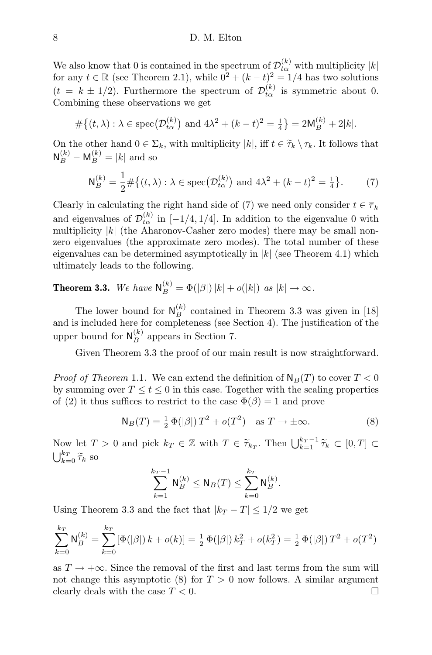We also know that 0 is contained in the spectrum of  $\mathcal{D}_{t\alpha}^{(k)}$  with multiplicity  $|k|$ for any  $t \in \mathbb{R}$  (see Theorem 2.1), while  $0^2 + (k - t)^2 = 1/4$  has two solutions  $(t = k \pm 1/2)$ . Furthermore the spectrum of  $\mathcal{D}_{t\alpha}^{(k)}$  is symmetric about 0. Combining these observations we get

$$
#\{(t,\lambda): \lambda \in \text{spec}(\mathcal{D}_{t\alpha}^{(k)}) \text{ and } 4\lambda^2 + (k-t)^2 = \frac{1}{4}\} = 2\mathsf{M}_{B}^{(k)} + 2|k|.
$$

On the other hand  $0 \in \Sigma_k$ , with multiplicity  $|k|$ , iff  $t \in \widetilde{\tau}_k \setminus \tau_k$ . It follows that  $\mathsf{N}_{B}^{(k)} - \mathsf{M}_{B}^{(k)} = |k|$  and so

$$
\mathsf{N}_{B}^{(k)} = \frac{1}{2} \# \big\{ (t, \lambda) : \lambda \in \text{spec}(\mathcal{D}_{t\alpha}^{(k)}) \text{ and } 4\lambda^{2} + (k - t)^{2} = \frac{1}{4} \big\}.
$$
 (7)

Clearly in calculating the right hand side of (7) we need only consider  $t \in \overline{\tau}_k$ and eigenvalues of  $\mathcal{D}_{t\alpha}^{(k)}$  in [-1/4, 1/4]. In addition to the eigenvalue 0 with multiplicity  $|k|$  (the Aharonov-Casher zero modes) there may be small nonzero eigenvalues (the approximate zero modes). The total number of these eigenvalues can be determined asymptotically in  $|k|$  (see Theorem 4.1) which ultimately leads to the following.

**Theorem 3.3.** We have  $N_B^{(k)} = \Phi(|\beta|) |k| + o(|k|)$  as  $|k| \to \infty$ .

The lower bound for  $\mathsf{N}_{B}^{(k)}$  contained in Theorem 3.3 was given in [18] and is included here for completeness (see Section 4). The justification of the upper bound for  $\mathsf{N}_{B}^{(k)}$  appears in Section 7.

Given Theorem 3.3 the proof of our main result is now straightforward.

*Proof of Theorem* 1.1. We can extend the definition of  $N_B(T)$  to cover  $T < 0$ by summing over  $T \leq t \leq 0$  in this case. Together with the scaling properties of (2) it thus suffices to restrict to the case  $\Phi(\beta) = 1$  and prove

$$
N_B(T) = \frac{1}{2} \Phi(|\beta|) T^2 + o(T^2) \quad \text{as } T \to \pm \infty.
$$
 (8)

Now let  $T > 0$  and pick  $k_T \in \mathbb{Z}$  with  $T \in \widetilde{\tau}_{k_T}$ . Then  $\bigcup_{k=1}^{k_T-1} \widetilde{\tau}_k \subset [0, T] \subset$  $\bigcup_{k=0}^{k_T} \widetilde{\tau}_k$  so

$$
\sum_{k=1}^{k_T-1} \mathsf{N}_{B}^{(k)} \le \mathsf{N}_{B}(T) \le \sum_{k=0}^{k_T} \mathsf{N}_{B}^{(k)}.
$$

Using Theorem 3.3 and the fact that  $|k_T - T| \leq 1/2$  we get

$$
\sum_{k=0}^{k_T} \mathsf{N}_B^{(k)} = \sum_{k=0}^{k_T} [\Phi(|\beta|) k + o(k)] = \frac{1}{2} \Phi(|\beta|) k_T^2 + o(k_T^2) = \frac{1}{2} \Phi(|\beta|) T^2 + o(T^2)
$$

as  $T \to +\infty$ . Since the removal of the first and last terms from the sum will not change this asymptotic (8) for  $T > 0$  now follows. A similar argument clearly deals with the case  $T < 0$ .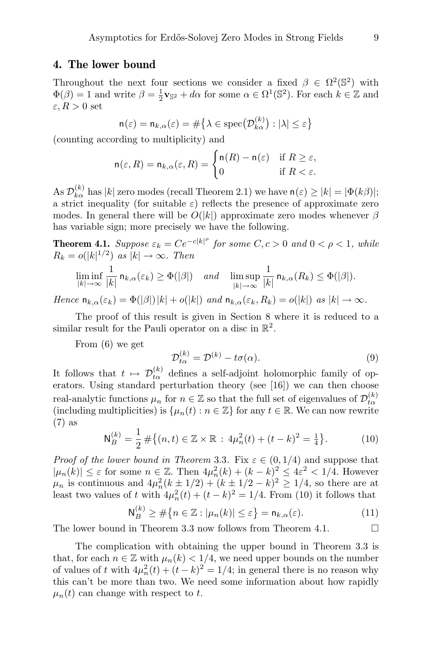#### 4. The lower bound

Throughout the next four sections we consider a fixed  $\beta \in \Omega^2(\mathbb{S}^2)$  with  $\Phi(\beta) = 1$  and write  $\beta = \frac{1}{2} \mathbf{v}_{\mathbb{S}^2} + d\alpha$  for some  $\alpha \in \Omega^1(\mathbb{S}^2)$ . For each  $k \in \mathbb{Z}$  and  $\varepsilon, R > 0$  set

$$
\mathsf{n}(\varepsilon) = \mathsf{n}_{k,\alpha}(\varepsilon) = \#\big\{\lambda \in \text{spec}\big(\mathcal{D}_{k\alpha}^{(k)}\big) : |\lambda| \le \varepsilon\big\}
$$

(counting according to multiplicity) and

$$
\mathsf{n}(\varepsilon, R) = \mathsf{n}_{k,\alpha}(\varepsilon, R) = \begin{cases} \mathsf{n}(R) - \mathsf{n}(\varepsilon) & \text{if } R \ge \varepsilon, \\ 0 & \text{if } R < \varepsilon. \end{cases}
$$

As  $\mathcal{D}_{k\alpha}^{(k)}$  has  $|k|$  zero modes (recall Theorem 2.1) we have  $n(\varepsilon) \ge |k| = |\Phi(k\beta)|$ ; a strict inequality (for suitable  $\varepsilon$ ) reflects the presence of approximate zero modes. In general there will be  $O(|k|)$  approximate zero modes whenever  $\beta$ has variable sign; more precisely we have the following.

**Theorem 4.1.** Suppose  $\varepsilon_k = Ce^{-c|k|^\rho}$  for some  $C, c > 0$  and  $0 < \rho < 1$ , while  $R_k = o(|k|^{1/2})$  as  $|k| \to \infty$ . Then

$$
\liminf_{|k|\to\infty}\frac{1}{|k|}\,\mathsf{n}_{k,\alpha}(\varepsilon_k)\geq \Phi(|\beta|)\quad\text{and}\quad\limsup_{|k|\to\infty}\frac{1}{|k|}\,\mathsf{n}_{k,\alpha}(R_k)\leq \Phi(|\beta|).
$$

Hence  $n_{k,\alpha}(\varepsilon_k) = \Phi(|\beta|)|k| + o(|k|)$  and  $n_{k,\alpha}(\varepsilon_k, R_k) = o(|k|)$  as  $|k| \to \infty$ .

The proof of this result is given in Section 8 where it is reduced to a similar result for the Pauli operator on a disc in  $\mathbb{R}^2$ .

From (6) we get

$$
\mathcal{D}_{t\alpha}^{(k)} = \mathcal{D}^{(k)} - t\sigma(\alpha). \tag{9}
$$

It follows that  $t \mapsto \mathcal{D}_{t\alpha}^{(k)}$  defines a self-adjoint holomorphic family of operators. Using standard perturbation theory (see [16]) we can then choose real-analytic functions  $\mu_n$  for  $n \in \mathbb{Z}$  so that the full set of eigenvalues of  $\mathcal{D}_{t\alpha}^{(k)}$ (including multiplicities) is  $\{\mu_n(t) : n \in \mathbb{Z}\}\)$  for any  $t \in \mathbb{R}$ . We can now rewrite (7) as

$$
\mathsf{N}_{B}^{(k)} = \frac{1}{2} \# \big\{ (n, t) \in \mathbb{Z} \times \mathbb{R} : 4\mu_n^2(t) + (t - k)^2 = \frac{1}{4} \big\}.
$$
 (10)

*Proof of the lower bound in Theorem 3.3.* Fix  $\varepsilon \in (0, 1/4)$  and suppose that  $|\mu_n(k)| \leq \varepsilon$  for some  $n \in \mathbb{Z}$ . Then  $4\mu_n^2(k) + (k - k)^2 \leq 4\varepsilon^2 < 1/4$ . However  $\mu_n$  is continuous and  $4\mu_n^2(k \pm 1/2) + (k \pm 1/2 - k)^2 \ge 1/4$ , so there are at least two values of t with  $4\mu_n^2(t) + (t - k)^2 = 1/4$ . From (10) it follows that

$$
\mathsf{N}_{B}^{(k)} \geq \#\{n \in \mathbb{Z} : |\mu_{n}(k)| \leq \varepsilon\} = \mathsf{n}_{k,\alpha}(\varepsilon). \tag{11}
$$

The lower bound in Theorem 3.3 now follows from Theorem 4.1.  $\Box$ 

The complication with obtaining the upper bound in Theorem 3.3 is that, for each  $n \in \mathbb{Z}$  with  $\mu_n(k) < 1/4$ , we need upper bounds on the number of values of t with  $4\mu_n^2(t) + (t - k)^2 = 1/4$ ; in general there is no reason why this can't be more than two. We need some information about how rapidly  $\mu_n(t)$  can change with respect to t.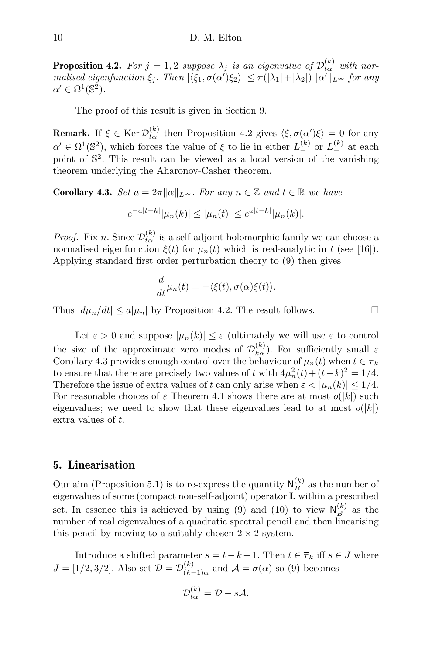**Proposition 4.2.** For  $j = 1, 2$  suppose  $\lambda_j$  is an eigenvalue of  $\mathcal{D}_{t\alpha}^{(k)}$  with normalised eigenfunction  $\xi_j$ . Then  $|\langle \xi_1, \sigma(\alpha') \xi_2 \rangle| \leq \pi(|\lambda_1| + |\lambda_2|) ||\alpha'||_{L^{\infty}}$  for any  $\alpha' \in \Omega^1(\mathbb{S}^2).$ 

The proof of this result is given in Section 9.

**Remark.** If  $\xi \in \text{Ker } \mathcal{D}_{t\alpha}^{(k)}$  then Proposition 4.2 gives  $\langle \xi, \sigma(\alpha')\xi \rangle = 0$  for any  $\alpha' \in \Omega^1(\mathbb{S}^2)$ , which forces the value of  $\xi$  to lie in either  $L_+^{(k)}$  or  $L_-^{(k)}$  at each point of S 2 . This result can be viewed as a local version of the vanishing theorem underlying the Aharonov-Casher theorem.

**Corollary 4.3.** Set  $a = 2\pi ||\alpha||_{L^{\infty}}$ . For any  $n \in \mathbb{Z}$  and  $t \in \mathbb{R}$  we have

$$
e^{-a|t-k|}|\mu_n(k)| \le |\mu_n(t)| \le e^{a|t-k|}|\mu_n(k)|.
$$

*Proof.* Fix *n*. Since  $\mathcal{D}_{t\alpha}^{(k)}$  is a self-adjoint holomorphic family we can choose a normalised eigenfunction  $\xi(t)$  for  $\mu_n(t)$  which is real-analytic in t (see [16]). Applying standard first order perturbation theory to (9) then gives

$$
\frac{d}{dt}\mu_n(t) = -\langle \xi(t), \sigma(\alpha)\xi(t) \rangle.
$$

Thus  $|d\mu_n/dt| \le a|\mu_n|$  by Proposition 4.2. The result follows.

Let  $\varepsilon > 0$  and suppose  $|\mu_n(k)| \leq \varepsilon$  (ultimately we will use  $\varepsilon$  to control the size of the approximate zero modes of  $\mathcal{D}_{k\alpha}^{(k)}$ ). For sufficiently small  $\varepsilon$ Corollary 4.3 provides enough control over the behaviour of  $\mu_n(t)$  when  $t \in \overline{\tau}_k$ to ensure that there are precisely two values of t with  $4\mu_n^2(t) + (t - k)^2 = 1/4$ . Therefore the issue of extra values of t can only arise when  $\varepsilon < |\mu_n(k)| \leq 1/4$ . For reasonable choices of  $\varepsilon$  Theorem 4.1 shows there are at most  $o(|k|)$  such eigenvalues; we need to show that these eigenvalues lead to at most  $o(|k|)$ extra values of t.

#### 5. Linearisation

Our aim (Proposition 5.1) is to re-express the quantity  $N_B^{(k)}$  as the number of eigenvalues of some (compact non-self-adjoint) operator L within a prescribed set. In essence this is achieved by using (9) and (10) to view  $\mathsf{N}_{B}^{(k)}$  as the number of real eigenvalues of a quadratic spectral pencil and then linearising this pencil by moving to a suitably chosen  $2 \times 2$  system.

Introduce a shifted parameter  $s = t - k + 1$ . Then  $t \in \overline{\tau}_k$  iff  $s \in J$  where  $J = [1/2, 3/2]$ . Also set  $\mathcal{D} = \mathcal{D}_{(k-1)}^{(k)}$  $\chi_{(k-1)\alpha}^{(k)}$  and  $\mathcal{A} = \sigma(\alpha)$  so (9) becomes

$$
\mathcal{D}_{t\alpha}^{(k)} = \mathcal{D} - s\mathcal{A}.
$$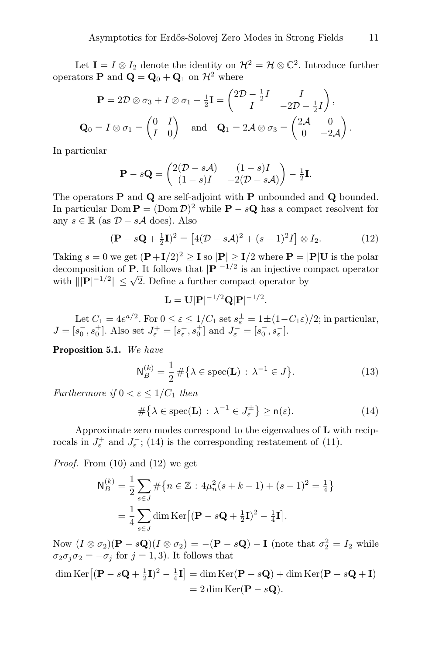Let  $I = I \otimes I_2$  denote the identity on  $\mathcal{H}^2 = \mathcal{H} \otimes \mathbb{C}^2$ . Introduce further operators **P** and  $\mathbf{Q} = \mathbf{Q}_0 + \mathbf{Q}_1$  on  $\mathcal{H}^2$  where

$$
\mathbf{P} = 2\mathcal{D} \otimes \sigma_3 + I \otimes \sigma_1 - \frac{1}{2}\mathbf{I} = \begin{pmatrix} 2\mathcal{D} - \frac{1}{2}I & I \\ I & -2\mathcal{D} - \frac{1}{2}I \end{pmatrix},
$$
  

$$
\mathbf{Q}_0 = I \otimes \sigma_1 = \begin{pmatrix} 0 & I \\ I & 0 \end{pmatrix} \text{ and } \mathbf{Q}_1 = 2\mathcal{A} \otimes \sigma_3 = \begin{pmatrix} 2\mathcal{A} & 0 \\ 0 & -2\mathcal{A} \end{pmatrix}.
$$

In particular

$$
\mathbf{P} - s\mathbf{Q} = \begin{pmatrix} 2(\mathcal{D} - s\mathcal{A}) & (1 - s)I \\ (1 - s)I & -2(\mathcal{D} - s\mathcal{A}) \end{pmatrix} - \frac{1}{2}\mathbf{I}.
$$

The operators P and Q are self-adjoint with P unbounded and Q bounded. In particular Dom  $\mathbf{P} = (\text{Dom }\mathcal{D})^2$  while  $\mathbf{P} - s\mathbf{Q}$  has a compact resolvent for any  $s \in \mathbb{R}$  (as  $D - s\mathcal{A}$  does). Also

$$
(\mathbf{P} - s\mathbf{Q} + \frac{1}{2}\mathbf{I})^2 = \left[4(\mathcal{D} - s\mathcal{A})^2 + (s-1)^2I\right] \otimes I_2.
$$
 (12)

Taking  $s = 0$  we get  $(\mathbf{P} + I/2)^2 \ge \mathbf{I}$  so  $|\mathbf{P}| \ge I/2$  where  $\mathbf{P} = |\mathbf{P}|\mathbf{U}$  is the polar decomposition of **P**. It follows that  $|{\bf P}|^{-1/2}$  is an injective compact operator decomposition of **F**. It follows that  $|\mathbf{F}|$  is an injective contract with  $\|\mathbf{P}|^{-1/2}\| \leq \sqrt{2}$ . Define a further compact operator by

$$
\mathbf{L} = \mathbf{U}|\mathbf{P}|^{-1/2}\mathbf{Q}|\mathbf{P}|^{-1/2}.
$$

Let  $C_1 = 4e^{a/2}$ . For  $0 \le \varepsilon \le 1/C_1$  set  $s_{\varepsilon}^{\pm} = 1 \pm (1 - C_1 \varepsilon)/2$ ; in particular,  $J = [s_0^-, s_0^+]$ . Also set  $J_{\varepsilon}^+ = [s_{\varepsilon}^+, s_0^+]$  and  $J_{\varepsilon}^- = [s_0^-, s_{\varepsilon}^-]$ .

Proposition 5.1. We have

$$
\mathsf{N}_{B}^{(k)} = \frac{1}{2} \# \{ \lambda \in \text{spec}(\mathbf{L}) \, : \, \lambda^{-1} \in J \}. \tag{13}
$$

Furthermore if  $0 < \varepsilon \leq 1/C_1$  then

$$
\#\{\lambda \in \text{spec}(\mathbf{L}) \,:\, \lambda^{-1} \in J_{\varepsilon}^{\pm}\} \ge \mathsf{n}(\varepsilon). \tag{14}
$$

Approximate zero modes correspond to the eigenvalues of  $L$  with reciprocals in  $J_{\varepsilon}^{+}$  and  $J_{\varepsilon}^{-}$ ; (14) is the corresponding restatement of (11).

Proof. From (10) and (12) we get

$$
N_B^{(k)} = \frac{1}{2} \sum_{s \in J} \# \{ n \in \mathbb{Z} : 4\mu_n^2 (s + k - 1) + (s - 1)^2 = \frac{1}{4} \}
$$
  
=  $\frac{1}{4} \sum_{s \in J} \dim \text{Ker} [(\mathbf{P} - s\mathbf{Q} + \frac{1}{2}\mathbf{I})^2 - \frac{1}{4}\mathbf{I}].$ 

Now  $(I \otimes \sigma_2)(P - sQ)(I \otimes \sigma_2) = -(P - sQ) - I$  (note that  $\sigma_2^2 = I_2$  while  $\sigma_2 \sigma_j \sigma_2 = -\sigma_j$  for  $j = 1, 3$ ). It follows that

$$
\dim \text{Ker}\left[ (\mathbf{P} - s\mathbf{Q} + \frac{1}{2}\mathbf{I})^2 - \frac{1}{4}\mathbf{I} \right] = \dim \text{Ker}(\mathbf{P} - s\mathbf{Q}) + \dim \text{Ker}(\mathbf{P} - s\mathbf{Q} + \mathbf{I})
$$

$$
= 2 \dim \text{Ker}(\mathbf{P} - s\mathbf{Q}).
$$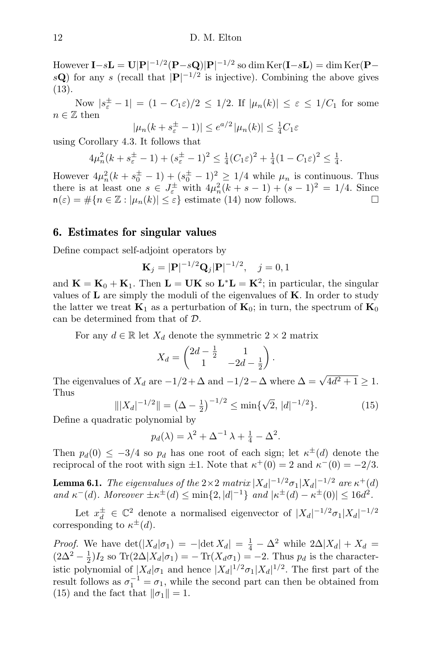However  $\mathbf{I}-s\mathbf{L}=\mathbf{U}|\mathbf{P}|^{-1/2}(\mathbf{P}-s\mathbf{Q})|\mathbf{P}|^{-1/2}$  so  $\dim\text{Ker}(\mathbf{I}-s\mathbf{L})=\dim\text{Ker}(\mathbf{P}-s\mathbf{L})$  $s\mathbf{Q}$ ) for any s (recall that  $|\mathbf{P}|^{-1/2}$  is injective). Combining the above gives (13).

Now  $|s_{\varepsilon}^{\pm} - 1| = (1 - C_1 \varepsilon)/2 \leq 1/2$ . If  $|\mu_n(k)| \leq \varepsilon \leq 1/C_1$  for some  $n \in \mathbb{Z}$  then

$$
|\mu_n(k + s_{\varepsilon}^{\pm} - 1)| \le e^{a/2} |\mu_n(k)| \le \frac{1}{4}C_1\varepsilon
$$

using Corollary 4.3. It follows that

$$
4\mu_n^2(k+s_{\varepsilon}^{\pm}-1) + (s_{\varepsilon}^{\pm}-1)^2 \leq \frac{1}{4}(C_1\varepsilon)^2 + \frac{1}{4}(1-C_1\varepsilon)^2 \leq \frac{1}{4}.
$$

However  $4\mu_n^2(k+s_0^{\pm}-1) + (s_0^{\pm}-1)^2 \geq 1/4$  while  $\mu_n$  is continuous. Thus there is at least one  $s \in J_{\varepsilon}^{\pm}$  with  $4\mu_n^2(k+s-1) + (s-1)^2 = 1/4$ . Since  $n(\varepsilon) = \#\{n \in \mathbb{Z} : |\mu_n(k)| \leq \varepsilon\}$  estimate (14) now follows.

#### 6. Estimates for singular values

Define compact self-adjoint operators by

$$
\mathbf{K}_{j} = |\mathbf{P}|^{-1/2} \mathbf{Q}_{j} |\mathbf{P}|^{-1/2}, \quad j = 0, 1
$$

and  $\mathbf{K} = \mathbf{K}_0 + \mathbf{K}_1$ . Then  $\mathbf{L} = \mathbf{U}\mathbf{K}$  so  $\mathbf{L}^* \mathbf{L} = \mathbf{K}^2$ ; in particular, the singular values of  $L$  are simply the moduli of the eigenvalues of  $K$ . In order to study the latter we treat  $\mathbf{K}_1$  as a perturbation of  $\mathbf{K}_0$ ; in turn, the spectrum of  $\mathbf{K}_0$ can be determined from that of D.

For any  $d \in \mathbb{R}$  let  $X_d$  denote the symmetric  $2 \times 2$  matrix

$$
X_d = \begin{pmatrix} 2d - \frac{1}{2} & 1 \\ 1 & -2d - \frac{1}{2} \end{pmatrix}.
$$

The eigenvalues of  $X_d$  are  $-1/2 + \Delta$  and  $-1/2 - \Delta$  where  $\Delta = \sqrt{4d^2 + 1} \ge 1$ . Thus √

$$
\| |X_d|^{-1/2} \| = \left( \Delta - \frac{1}{2} \right)^{-1/2} \le \min \{ \sqrt{2}, \, |d|^{-1/2} \}. \tag{15}
$$

Define a quadratic polynomial by

$$
p_d(\lambda) = \lambda^2 + \Delta^{-1} \lambda + \frac{1}{4} - \Delta^2.
$$

Then  $p_d(0) \leq -3/4$  so  $p_d$  has one root of each sign; let  $\kappa^{\pm}(d)$  denote the reciprocal of the root with sign  $\pm 1$ . Note that  $\kappa^+(0) = 2$  and  $\kappa^-(0) = -2/3$ .

**Lemma 6.1.** The eigenvalues of the  $2 \times 2$  matrix  $|X_d|^{-1/2} \sigma_1 |X_d|^{-1/2}$  are  $\kappa^+(d)$ and  $\kappa^-(d)$ . Moreover  $\pm \kappa^{\pm}(d) \leq \min\{2, |d|^{-1}\}\$ and  $|\kappa^{\pm}(d) - \kappa^{\pm}(0)| \leq 16d^2$ .

Let  $x_d^{\pm} \in \mathbb{C}^2$  denote a normalised eigenvector of  $|X_d|^{-1/2} \sigma_1 |X_d|^{-1/2}$ corresponding to  $\kappa^{\pm}(d)$ .

*Proof.* We have  $\det(|X_d|\sigma_1) = -|\det X_d| = \frac{1}{4} - \Delta^2$  while  $2\Delta |X_d| + X_d =$  $(2\Delta^2 - \frac{1}{2})I_2$  so Tr $(2\Delta | X_d | \sigma_1) = -\text{Tr}(X_d \sigma_1) = -2$ . Thus  $p_d$  is the characteristic polynomial of  $|X_d|\sigma_1$  and hence  $|X_d|^{1/2}\sigma_1|X_d|^{1/2}$ . The first part of the result follows as  $\sigma_1^{-1} = \sigma_1$ , while the second part can then be obtained from (15) and the fact that  $\|\sigma_1\| = 1$ .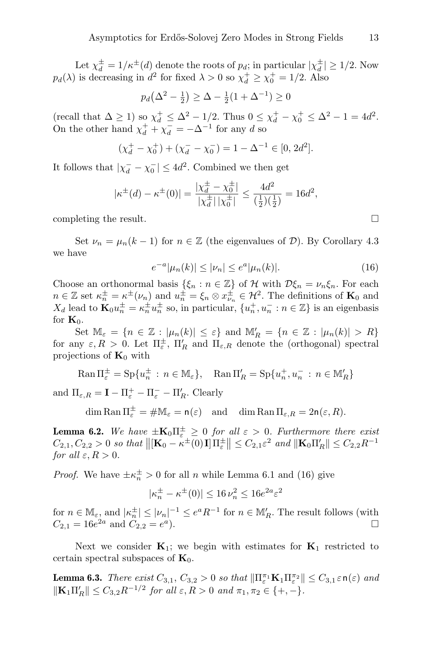Let  $\chi_d^{\pm} = 1/\kappa^{\pm}(d)$  denote the roots of  $p_d$ ; in particular  $|\chi_d^{\pm}| \geq 1/2$ . Now  $p_d(\lambda)$  is decreasing in  $d^2$  for fixed  $\lambda > 0$  so  $\chi_d^+ \ge \chi_0^+ = 1/2$ . Also

$$
p_d(\Delta^2 - \frac{1}{2}) \ge \Delta - \frac{1}{2}(1 + \Delta^{-1}) \ge 0
$$

(recall that  $\Delta \ge 1$ ) so  $\chi_d^+ \le \Delta^2 - 1/2$ . Thus  $0 \le \chi_d^+ - \chi_0^+ \le \Delta^2 - 1 = 4d^2$ . On the other hand  $\chi_d^+ + \chi_d^- = -\Delta^{-1}$  for any d so

$$
(\chi_d^+ - \chi_0^+) + (\chi_d^- - \chi_0^-) = 1 - \Delta^{-1} \in [0, 2d^2].
$$

It follows that  $|\chi_d^- - \chi_0^-| \leq 4d^2$ . Combined we then get

$$
|\kappa^{\pm}(d) - \kappa^{\pm}(0)| = \frac{|\chi_d^{\pm} - \chi_0^{\pm}|}{|\chi_d^{\pm}| |\chi_0^{\pm}|} \le \frac{4d^2}{(\frac{1}{2})(\frac{1}{2})} = 16d^2,
$$

completing the result.

Set  $\nu_n = \mu_n(k-1)$  for  $n \in \mathbb{Z}$  (the eigenvalues of  $\mathcal{D}$ ). By Corollary 4.3 we have

$$
e^{-a}|\mu_n(k)| \le |\nu_n| \le e^a|\mu_n(k)|. \tag{16}
$$

Choose an orthonormal basis  $\{\xi_n : n \in \mathbb{Z}\}\$  of H with  $\mathcal{D}\xi_n = \nu_n \xi_n$ . For each  $n \in \mathbb{Z}$  set  $\kappa_n^{\pm} = \kappa^{\pm}(\nu_n)$  and  $u_n^{\pm} = \xi_n \otimes x_{\nu_n}^{\pm} \in \mathcal{H}^2$ . The definitions of  $\mathbf{K}_0$  and  $X_d$  lead to  $\mathbf{K}_0 u_n^{\pm} = \kappa_n^{\pm} u_n^{\pm}$  so, in particular,  $\{u_n^+, u_n^- : n \in \mathbb{Z}\}\$  is an eigenbasis for  $\mathbf{K}_0$ .

Set  $\mathbb{M}_{\varepsilon} = \{ n \in \mathbb{Z} : |\mu_n(k)| \leq \varepsilon \}$  and  $\mathbb{M}'_R = \{ n \in \mathbb{Z} : |\mu_n(k)| > R \}$ for any  $\varepsilon, R > 0$ . Let  $\Pi_{\varepsilon}^{\pm}$ ,  $\Pi_R'$  and  $\Pi_{\varepsilon,R}$  denote the (orthogonal) spectral projections of  $\mathbf{K}_0$  with

$$
\operatorname{Ran} \Pi_{\varepsilon}^{\pm} = \operatorname{Sp} \{ u_n^{\pm} \, : \, n \in \mathbb{M}_{\varepsilon} \}, \quad \operatorname{Ran} \Pi_R' = \operatorname{Sp} \{ u_n^+, u_n^- \, : \, n \in \mathbb{M}_R' \}
$$

and  $\Pi_{\varepsilon,R} = \mathbf{I} - \Pi_{\varepsilon}^+ - \Pi_{\varepsilon}^- - \Pi_R'$ . Clearly

 $\dim \mathrm{Ran} \Pi_{\varepsilon}^{\pm} = \#\mathbb{M}_{\varepsilon} = \mathsf{n}(\varepsilon) \quad \text{and} \quad \dim \mathrm{Ran} \Pi_{\varepsilon,R} = 2\mathsf{n}(\varepsilon,R).$ 

**Lemma 6.2.** We have  $\pm K_0 \Pi_{\varepsilon}^{\pm} \geq 0$  for all  $\varepsilon > 0$ . Furthermore there exist  $C_{2,1}, C_{2,2} > 0$  so that  $\left\| \left[ \mathbf{K}_0 - \kappa^{\pm}(0) \mathbf{I} \right] \Pi_{\varepsilon}^{\pm} \right\| \leq C_{2,1} \varepsilon^2$  and  $\left\| \mathbf{K}_0 \Pi_R' \right\| \leq C_{2,2} R^{-1}$ for all  $\varepsilon, R > 0$ .

*Proof.* We have  $\pm \kappa_n^{\pm} > 0$  for all *n* while Lemma 6.1 and (16) give

$$
|\kappa_n^\pm-\kappa^\pm(0)|\leq 16\,\nu_n^2\leq 16e^{2a}\varepsilon^2
$$

for  $n \in M_{\varepsilon}$ , and  $|\kappa_n^{\pm}| \leq |\nu_n|^{-1} \leq e^a R^{-1}$  for  $n \in M'_R$ . The result follows (with  $C_{2,1} = 16e^{2a}$  and  $C_{2,2} = e^{a}$  $\Box$ ).

Next we consider  $K_1$ ; we begin with estimates for  $K_1$  restricted to certain spectral subspaces of  $\mathbf{K}_0$ .

**Lemma 6.3.** There exist  $C_{3,1}$ ,  $C_{3,2} > 0$  so that  $\|\Pi_{\varepsilon}^{\pi_1} \mathbf{K}_1 \Pi_{\varepsilon}^{\pi_2}\| \leq C_{3,1} \varepsilon \mathsf{n}(\varepsilon)$  and  $\|\mathbf{K}_1\Pi'_R\| \leq C_{3,2}R^{-1/2}$  for all  $\varepsilon, R > 0$  and  $\pi_1, \pi_2 \in \{+, -\}.$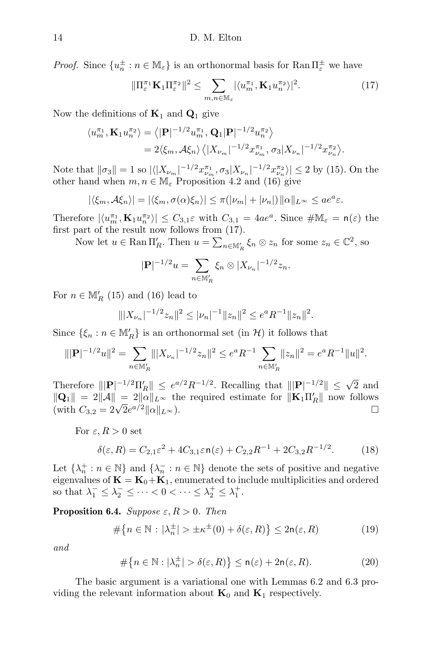*Proof.* Since  $\{u_n^{\pm} : n \in \mathbb{M}_{\varepsilon}\}\)$  is an orthonormal basis for  $\text{Ran} \Pi_{\varepsilon}^{\pm}$  we have

$$
\|\Pi_{\varepsilon}^{\pi_1} \mathbf{K}_1 \Pi_{\varepsilon}^{\pi_2}\|^2 \leq \sum_{m,n \in \mathbb{M}_{\varepsilon}} |\langle u_m^{\pi_1}, \mathbf{K}_1 u_n^{\pi_2} \rangle|^2. \tag{17}
$$

Now the definitions of  $\mathbf{K}_1$  and  $\mathbf{Q}_1$  give

$$
\langle u_m^{\pi_1}, \mathbf{K}_1 u_n^{\pi_2} \rangle = \langle |\mathbf{P}|^{-1/2} u_m^{\pi_1}, \mathbf{Q}_1 |\mathbf{P}|^{-1/2} u_n^{\pi_2} \rangle
$$
  
=  $2 \langle \xi_m, \mathcal{A} \xi_n \rangle \langle |X_{\nu_m}|^{-1/2} x_{\nu_m}^{\pi_1}, \sigma_3 | X_{\nu_n} |^{-1/2} x_{\nu_n}^{\pi_2} \rangle.$ 

Note that  $\|\sigma_3\| = 1$  so  $|\langle |X_{\nu_m}|^{-1/2} x_{\nu_m}^{\pi_1}, \sigma_3 | X_{\nu_n}|^{-1/2} x_{\nu_n}^{\pi_2} \rangle| \leq 2$  by (15). On the other hand when  $m, n \in \mathbb{M}_{\varepsilon}$  Proposition 4.2 and (16) give

$$
|\langle \xi_m, A \xi_n \rangle| = |\langle \xi_m, \sigma(\alpha) \xi_n \rangle| \leq \pi (|\nu_m| + |\nu_n|) ||\alpha||_{L^{\infty}} \leq a e^a \varepsilon.
$$

Therefore  $|\langle u_m^{\pi_1}, \mathbf{K}_1 u_n^{\pi_2} \rangle| \leq C_{3,1} \varepsilon$  with  $C_{3,1} = 4ae^a$ . Since  $\#\mathbb{M}_{\varepsilon} = \mathsf{n}(\varepsilon)$  the first part of the result now follows from (17).

Now let  $u \in \text{Ran }\Pi_R'$ . Then  $u = \sum_{n \in \mathbb{M}_R'} \xi_n \otimes z_n$  for some  $z_n \in \mathbb{C}^2$ , so

$$
|\mathbf{P}|^{-1/2}u = \sum_{n \in \mathbb{M}'_R} \xi_n \otimes |X_{\nu_n}|^{-1/2} z_n.
$$

For  $n \in M'_R$  (15) and (16) lead to

$$
\| |X_{\nu_n}|^{-1/2} z_n \|^2 \le |\nu_n|^{-1} \|z_n\|^2 \le e^a R^{-1} \|z_n\|^2.
$$

Since  $\{\xi_n : n \in \mathbb{M}'_R\}$  is an orthonormal set (in  $\mathcal{H}$ ) it follows that

$$
\| |\mathbf{P}|^{-1/2} u \|^{2} = \sum_{n \in \mathbb{M}'_{R}} \| |X_{\nu_{n}}|^{-1/2} z_{n} \|^{2} \le e^{a} R^{-1} \sum_{n \in \mathbb{M}'_{R}} \| z_{n} \|^{2} = e^{a} R^{-1} \| u \|^{2}.
$$

Therefore  $|||\mathbf{P}|^{-1/2} \Pi_R'|| \leq e^{a/2} R^{-1/2}$ . Recalling that  $|||\mathbf{P}|^{-1/2}|| \leq \sqrt{2}$  and  $\|\mathbf{Q}_1\| = 2\|\mathcal{A}\| = 2\|\alpha\|_{L^\infty}$  the required estimate for  $\|\mathbf{K}_1\Pi'_R\|$  now follows  $\|\mathbf{Q}_1\| = 2\|\mathcal{A}\| = 2\|\mathcal{C}\|_{L^\infty}$  the reduced estimate for  $\|\mathbf{R}_1\mathbf{H}_R\|$  how follows<br>(with  $C_{3,2} = 2\sqrt{2}e^{a/2}\|\alpha\|_{L^\infty}$ ).

For 
$$
\varepsilon, R > 0
$$
 set

$$
\delta(\varepsilon, R) = C_{2,1}\varepsilon^2 + 4C_{3,1}\varepsilon \ln(\varepsilon) + C_{2,2}R^{-1} + 2C_{3,2}R^{-1/2}.
$$
 (18)

Let  $\{\lambda_n^+ : n \in \mathbb{N}\}\$  and  $\{\lambda_n^- : n \in \mathbb{N}\}\$  denote the sets of positive and negative eigenvalues of  $\mathbf{K} = \mathbf{K}_0 + \mathbf{K}_1$ , enumerated to include multiplicities and ordered so that  $\lambda_1^- \leq \lambda_2^- \leq \cdots < 0 < \cdots \leq \lambda_2^+ \leq \lambda_1^+$ .

**Proposition 6.4.** Suppose  $\varepsilon, R > 0$ . Then

$$
\#\{n \in \mathbb{N} : |\lambda_n^{\pm}| > \pm \kappa^{\pm}(0) + \delta(\varepsilon, R)\} \le 2n(\varepsilon, R) \tag{19}
$$

and

$$
\#\{n \in \mathbb{N} : |\lambda_n^{\pm}| > \delta(\varepsilon, R)\} \le n(\varepsilon) + 2n(\varepsilon, R). \tag{20}
$$

The basic argument is a variational one with Lemmas 6.2 and 6.3 providing the relevant information about  $\mathbf{K}_0$  and  $\mathbf{K}_1$  respectively.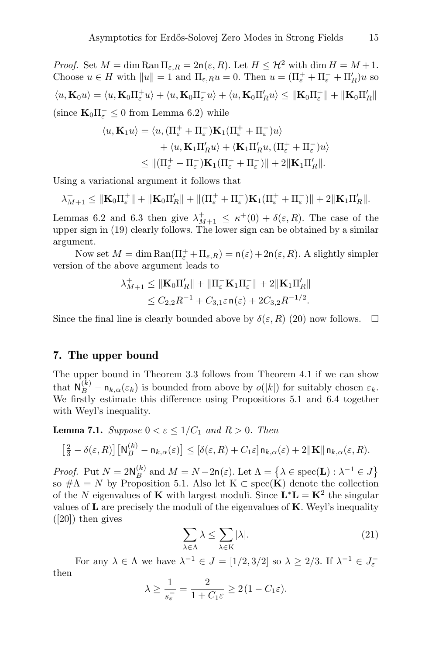*Proof.* Set  $M = \dim \text{Ran } \Pi_{\varepsilon,R} = 2n(\varepsilon,R)$ . Let  $H \leq \mathcal{H}^2$  with  $\dim H = M + 1$ . Choose  $u \in H$  with  $||u|| = 1$  and  $\Pi_{\varepsilon,R}u = 0$ . Then  $u = (\Pi_{\varepsilon}^+ + \Pi_{\varepsilon}^- + \Pi_R')u$  so  $\langle u, \mathbf{K}_0 u \rangle = \langle u, \mathbf{K}_0 \Pi_{\varepsilon}^+ u \rangle + \langle u, \mathbf{K}_0 \Pi_{\varepsilon}^- u \rangle + \langle u, \mathbf{K}_0 \Pi_{R}^t u \rangle \leq \|\mathbf{K}_0 \Pi_{\varepsilon}^+\| + \|\mathbf{K}_0 \Pi_{R}^{\prime}\|$ (since  $\mathbf{K}_0 \Pi_{\varepsilon}^- \leq 0$  from Lemma 6.2) while

$$
\langle u, \mathbf{K}_1 u \rangle = \langle u, (\Pi_{\varepsilon}^+ + \Pi_{\varepsilon}^-) \mathbf{K}_1 (\Pi_{\varepsilon}^+ + \Pi_{\varepsilon}^-) u \rangle + \langle u, \mathbf{K}_1 \Pi_R' u \rangle + \langle \mathbf{K}_1 \Pi_R' u, (\Pi_{\varepsilon}^+ + \Pi_{\varepsilon}^-) u \rangle \leq ||(\Pi_{\varepsilon}^+ + \Pi_{\varepsilon}^-) \mathbf{K}_1 (\Pi_{\varepsilon}^+ + \Pi_{\varepsilon}^-) || + 2 ||\mathbf{K}_1 \Pi_R'||.
$$

Using a variational argument it follows that

$$
\lambda_{M+1}^+ \leq \|\mathbf{K}_0\Pi_{\varepsilon}^+\| + \|\mathbf{K}_0\Pi_R'\| + \|(\Pi_{\varepsilon}^+ + \Pi_{\varepsilon}^-)\mathbf{K}_1(\Pi_{\varepsilon}^+ + \Pi_{\varepsilon}^-)\| + 2\|\mathbf{K}_1\Pi_R'\|.
$$

Lemmas 6.2 and 6.3 then give  $\lambda_{M+1}^+ \leq \kappa^+(0) + \delta(\varepsilon, R)$ . The case of the upper sign in (19) clearly follows. The lower sign can be obtained by a similar argument.

Now set  $M = \dim \text{Ran}(\Pi_{\varepsilon}^+ + \Pi_{\varepsilon,R}) = \mathsf{n}(\varepsilon) + 2\mathsf{n}(\varepsilon,R)$ . A slightly simpler version of the above argument leads to

$$
\lambda_{M+1}^+ \leq \|\mathbf{K}_0 \Pi_R' \| + \|\Pi_{\varepsilon}^- \mathbf{K}_1 \Pi_{\varepsilon}^- \| + 2 \|\mathbf{K}_1 \Pi_R' \|
$$
  

$$
\leq C_{2,2} R^{-1} + C_{3,1} \varepsilon \mathsf{n}(\varepsilon) + 2C_{3,2} R^{-1/2}.
$$

Since the final line is clearly bounded above by  $\delta(\varepsilon, R)$  (20) now follows.  $\Box$ 

#### 7. The upper bound

The upper bound in Theorem 3.3 follows from Theorem 4.1 if we can show that  $\mathsf{N}_{B}^{(k)} - \mathsf{n}_{k,\alpha}(\varepsilon_k)$  is bounded from above by  $o(|k|)$  for suitably chosen  $\varepsilon_k$ . We firstly estimate this difference using Propositions 5.1 and 6.4 together with Weyl's inequality.

**Lemma 7.1.** Suppose  $0 < \varepsilon \leq 1/C_1$  and  $R > 0$ . Then

$$
\left[\frac{2}{3}-\delta(\varepsilon,R)\right]\left[\mathbf{N}_{B}^{(k)}-\mathbf{n}_{k,\alpha}(\varepsilon)\right]\leq\left[\delta(\varepsilon,R)+C_{1}\varepsilon\right]\mathbf{n}_{k,\alpha}(\varepsilon)+2\|\mathbf{K}\|\mathbf{n}_{k,\alpha}(\varepsilon,R).
$$

*Proof.* Put  $N = 2N_B^{(k)}$  and  $M = N - 2n(\varepsilon)$ . Let  $\Lambda = \{ \lambda \in \text{spec}(\mathbf{L}) : \lambda^{-1} \in J \}$ so  $\#\Lambda = N$  by Proposition 5.1. Also let K  $\subset$  spec(**K**) denote the collection of the N eigenvalues of K with largest moduli. Since  $\mathbf{L}^* \mathbf{L} = \mathbf{K}^2$  the singular values of  $\bf{L}$  are precisely the moduli of the eigenvalues of  $\bf{K}$ . Weyl's inequality  $([20])$  then gives

$$
\sum_{\lambda \in \Lambda} \lambda \le \sum_{\lambda \in \mathcal{K}} |\lambda|.
$$
 (21)

For any  $\lambda \in \Lambda$  we have  $\lambda^{-1} \in J = [1/2, 3/2]$  so  $\lambda \geq 2/3$ . If  $\lambda^{-1} \in J_{\varepsilon}^{-}$ then

$$
\lambda \ge \frac{1}{s_{\varepsilon}^-} = \frac{2}{1 + C_1 \varepsilon} \ge 2(1 - C_1 \varepsilon).
$$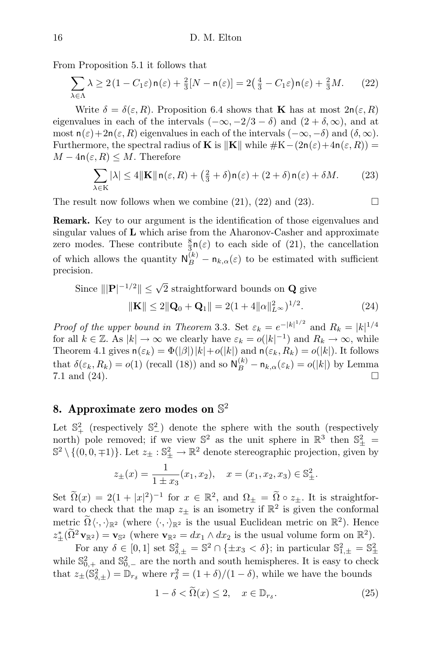From Proposition 5.1 it follows that

$$
\sum_{\lambda \in \Lambda} \lambda \ge 2(1 - C_1 \varepsilon) \mathsf{n}(\varepsilon) + \frac{2}{3}[N - \mathsf{n}(\varepsilon)] = 2\left(\frac{4}{3} - C_1 \varepsilon\right) \mathsf{n}(\varepsilon) + \frac{2}{3}M. \tag{22}
$$

Write  $\delta = \delta(\varepsilon, R)$ . Proposition 6.4 shows that **K** has at most  $2n(\varepsilon, R)$ eigenvalues in each of the intervals  $(-\infty, -2/3 - \delta)$  and  $(2 + \delta, \infty)$ , and at most  $n(\varepsilon)+2n(\varepsilon, R)$  eigenvalues in each of the intervals  $(-\infty, -\delta)$  and  $(\delta, \infty)$ . Furthermore, the spectral radius of **K** is  $\|\mathbf{K}\|$  while  $\#K-(2n(\varepsilon)+4n(\varepsilon, R)) =$  $M-4n(\varepsilon, R) \leq M$ . Therefore

$$
\sum_{\lambda \in \mathcal{K}} |\lambda| \le 4 \|\mathbf{K}\| \mathbf{n}(\varepsilon, R) + \left(\frac{2}{3} + \delta\right) \mathbf{n}(\varepsilon) + (2 + \delta) \mathbf{n}(\varepsilon) + \delta M. \tag{23}
$$

The result now follows when we combine  $(21)$ ,  $(22)$  and  $(23)$ .

Remark. Key to our argument is the identification of those eigenvalues and singular values of L which arise from the Aharonov-Casher and approximate zero modes. These contribute  $\frac{8}{3}n(\varepsilon)$  to each side of (21), the cancellation of which allows the quantity  $N_B^{(k)} - n_{k,\alpha}(\varepsilon)$  to be estimated with sufficient precision.

Since 
$$
||\mathbf{P}|^{-1/2}|| \le \sqrt{2}
$$
 straightforward bounds on **Q** give  

$$
||\mathbf{K}|| \le 2||\mathbf{Q}_0 + \mathbf{Q}_1|| = 2(1 + 4||\alpha||_{L^{\infty}}^2)^{1/2}.
$$
 (24)

*Proof of the upper bound in Theorem 3.3.* Set  $\varepsilon_k = e^{-|k|^{1/2}}$  and  $R_k = |k|^{1/4}$ for all  $k \in \mathbb{Z}$ . As  $|k| \to \infty$  we clearly have  $\varepsilon_k = o(|k|^{-1})$  and  $R_k \to \infty$ , while Theorem 4.1 gives  $n(\varepsilon_k) = \Phi(|\beta|) |k| + o(|k|)$  and  $n(\varepsilon_k, R_k) = o(|k|)$ . It follows that  $\delta(\varepsilon_k, R_k) = o(1)$  (recall (18)) and so  $\mathsf{N}_{B}^{(k)} - \mathsf{n}_{k,\alpha}(\varepsilon_k) = o(|k|)$  by Lemma 7.1 and (24).

## 8. Approximate zero modes on  $\mathbb{S}^2$

Let  $\mathbb{S}^2_+$  (respectively  $\mathbb{S}^2_-$ ) denote the sphere with the south (respectively north) pole removed; if we view  $\mathbb{S}^2$  as the unit sphere in  $\mathbb{R}^3$  then  $\mathbb{S}^2_{\pm}$  =  $\mathbb{S}^2 \setminus \{(0,0,\pm 1)\}\.$  Let  $z_{\pm} : \mathbb{S}^2_{\pm} \to \mathbb{R}^2$  denote stereographic projection, given by

$$
z_{\pm}(x) = \frac{1}{1 \pm x_3}(x_1, x_2), \quad x = (x_1, x_2, x_3) \in \mathbb{S}^2_{\pm}.
$$

Set  $\widetilde{\Omega}(x) = 2(1+|x|^2)^{-1}$  for  $x \in \mathbb{R}^2$ , and  $\Omega_{\pm} = \widetilde{\Omega} \circ z_{\pm}$ . It is straightforward to check that the map  $z_{\pm}$  is an isometry if  $\mathbb{R}^2$  is given the conformal metric  $\widetilde{\Omega}\langle \cdot, \cdot \rangle_{\mathbb{R}^2}$  (where  $\langle \cdot, \cdot \rangle_{\mathbb{R}^2}$  is the usual Euclidean metric on  $\mathbb{R}^2$ ). Hence  $z_{\pm}^*(\tilde{\Omega}^2 \mathbf{v}_{\mathbb{R}^2}) = \mathbf{v}_{\mathbb{S}^2}$  (where  $\mathbf{v}_{\mathbb{R}^2} = dx_1 \wedge dx_2$  is the usual volume form on  $\mathbb{R}^2$ ).

For any  $\delta \in [0,1]$  set  $\mathbb{S}^2_{\delta,\pm} = \mathbb{S}^2 \cap {\{\pm x_3 < \delta\}};$  in particular  $\mathbb{S}^2_{1,\pm} = \mathbb{S}^2_{\pm}$ while  $\mathbb{S}_{0,+}^2$  and  $\mathbb{S}_{0,-}^2$  are the north and south hemispheres. It is easy to check that  $z_{\pm}(\mathbb{S}_{\delta,\pm}^2) = \mathbb{D}_{r_{\delta}}$  where  $r_{\delta}^2 = (1 + \delta)/(1 - \delta)$ , while we have the bounds

$$
1 - \delta < \widetilde{\Omega}(x) \le 2, \quad x \in \mathbb{D}_{r_{\delta}}.\tag{25}
$$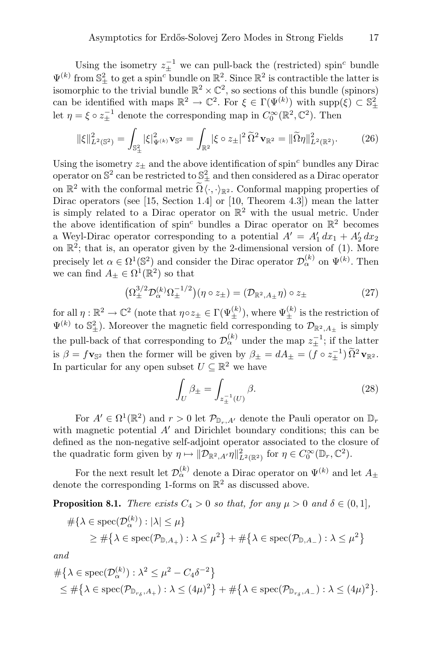Using the isometry  $z_{\pm}^{-1}$  we can pull-back the (restricted) spin<sup>c</sup> bundle  $\Psi^{(k)}$  from  $\mathbb{S}^2_{\pm}$  to get a spin<sup>c</sup> bundle on  $\mathbb{R}^2$ . Since  $\mathbb{R}^2$  is contractible the latter is isomorphic to the trivial bundle  $\mathbb{R}^2 \times \mathbb{C}^2$ , so sections of this bundle (spinors) can be identified with maps  $\mathbb{R}^2 \to \mathbb{C}^2$ . For  $\xi \in \Gamma(\Psi^{(k)})$  with supp $(\xi) \subset \mathbb{S}^2_{\pm}$ let  $\eta = \xi \circ z_{\pm}^{-1}$  denote the corresponding map in  $C_0^{\infty}(\mathbb{R}^2, \mathbb{C}^2)$ . Then

$$
\|\xi\|_{L^2(\mathbb{S}^2)}^2 = \int_{\mathbb{S}^2_{\pm}} |\xi|_{\Psi^{(k)}}^2 \mathbf{v}_{\mathbb{S}^2} = \int_{\mathbb{R}^2} |\xi \circ z_{\pm}|^2 \, \widetilde{\Omega}^2 \mathbf{v}_{\mathbb{R}^2} = \|\widetilde{\Omega}\eta\|_{L^2(\mathbb{R}^2)}^2. \tag{26}
$$

Using the isometry  $z_{\pm}$  and the above identification of spin<sup>c</sup> bundles any Dirac operator on  $\mathbb{S}^2$  can be restricted to  $\mathbb{S}^2_{\pm}$  and then considered as a Dirac operator on  $\mathbb{R}^2$  with the conformal metric  $\widetilde{\Omega} \langle \cdot, \cdot \rangle_{\mathbb{R}^2}$ . Conformal mapping properties of Dirac operators (see [15, Section 1.4] or [10, Theorem 4.3]) mean the latter is simply related to a Dirac operator on  $\mathbb{R}^2$  with the usual metric. Under the above identification of spin<sup>c</sup> bundles a Dirac operator on  $\mathbb{R}^2$  becomes a Weyl-Dirac operator corresponding to a potential  $A' = A'_1 dx_1 + A'_2 dx_2$ on  $\mathbb{R}^2$ ; that is, an operator given by the 2-dimensional version of (1). More precisely let  $\alpha \in \Omega^1(\mathbb{S}^2)$  and consider the Dirac operator  $\mathcal{D}_{\alpha}^{(k)}$  on  $\Psi^{(k)}$ . Then we can find  $A_{\pm} \in \Omega^1(\mathbb{R}^2)$  so that

$$
\left(\Omega_{\pm}^{3/2} \mathcal{D}_{\alpha}^{(k)} \Omega_{\pm}^{-1/2}\right) \left(\eta \circ z_{\pm}\right) = \left(\mathcal{D}_{\mathbb{R}^2, A_{\pm}} \eta\right) \circ z_{\pm} \tag{27}
$$

for all  $\eta: \mathbb{R}^2 \to \mathbb{C}^2$  (note that  $\eta \circ z_{\pm} \in \Gamma(\Psi_{\pm}^{(k)})$ , where  $\Psi_{\pm}^{(k)}$  is the restriction of  $\Psi^{(k)}$  to  $\mathbb{S}^2_{\pm}$ ). Moreover the magnetic field corresponding to  $\mathcal{D}_{\mathbb{R}^2,A_{\pm}}$  is simply the pull-back of that corresponding to  $\mathcal{D}_{\alpha}^{(k)}$  under the map  $z_{\pm}^{-1}$ ; if the latter is  $\beta = f \mathbf{v}_{\mathbb{S}^2}$  then the former will be given by  $\beta_{\pm} = dA_{\pm} = (f \circ z_{\pm}^{-1}) \widetilde{\Omega}^2 \mathbf{v}_{\mathbb{R}^2}$ . In particular for any open subset  $U \subseteq \mathbb{R}^2$  we have

$$
\int_{U} \beta_{\pm} = \int_{z_{\pm}^{-1}(U)} \beta.
$$
\n(28)

For  $A' \in \Omega^1(\mathbb{R}^2)$  and  $r > 0$  let  $\mathcal{P}_{\mathbb{D}_r,A'}$  denote the Pauli operator on  $\mathbb{D}_r$ with magnetic potential  $A'$  and Dirichlet boundary conditions; this can be defined as the non-negative self-adjoint operator associated to the closure of the quadratic form given by  $\eta \mapsto ||\mathcal{D}_{\mathbb{R}^2,A'}\eta||^2_{L^2(\mathbb{R}^2)}$  for  $\eta \in C_0^{\infty}(\mathbb{D}_r, \mathbb{C}^2)$ .

For the next result let  $\mathcal{D}_{\alpha}^{(k)}$  denote a Dirac operator on  $\Psi^{(k)}$  and let  $A_{\pm}$ denote the corresponding 1-forms on  $\mathbb{R}^2$  as discussed above.

**Proposition 8.1.** There exists  $C_4 > 0$  so that, for any  $\mu > 0$  and  $\delta \in (0, 1]$ ,

$$
\#\{\lambda \in \text{spec}(\mathcal{D}_{\alpha}^{(k)}) : |\lambda| \leq \mu\}
$$
  
 
$$
\geq \#\{\lambda \in \text{spec}(\mathcal{P}_{\mathbb{D}, A_+}) : \lambda \leq \mu^2\} + \#\{\lambda \in \text{spec}(\mathcal{P}_{\mathbb{D}, A_-}) : \lambda \leq \mu^2\}
$$

and

$$
\begin{aligned} &\#\{\lambda \in \text{spec}(\mathcal{D}_{\alpha}^{(k)}) : \lambda^2 \le \mu^2 - C_4 \delta^{-2}\} \\ &\le \#\{\lambda \in \text{spec}(\mathcal{P}_{\mathbb{D}_{r_\delta}, A_+}) : \lambda \le (4\mu)^2\} + \#\{\lambda \in \text{spec}(\mathcal{P}_{\mathbb{D}_{r_\delta}, A_-}) : \lambda \le (4\mu)^2\}. \end{aligned}
$$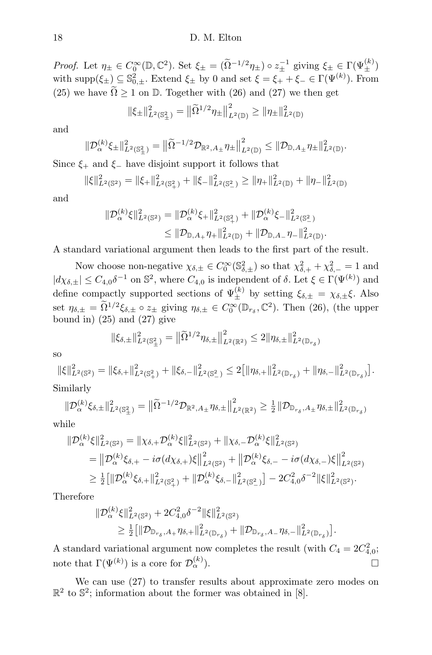Proof. Let  $\eta_{\pm} \in C_0^{\infty}(\mathbb{D}, \mathbb{C}^2)$ . Set  $\xi_{\pm} = (\widetilde{\Omega}^{-1/2} \eta_{\pm}) \circ z_{\pm}^{-1}$  giving  $\xi_{\pm} \in \Gamma(\Psi_{\pm}^{(k)})$ with supp $(\xi_{\pm}) \subseteq \mathbb{S}^2_{0,\pm}$ . Extend  $\xi_{\pm}$  by 0 and set  $\xi = \xi_{+} + \xi_{-} \in \Gamma(\Psi^{(k)})$ . From (25) we have  $\tilde{\Omega} \ge 1$  on  $\mathbb{D}$ . Together with (26) and (27) we then get

$$
\|\xi_{\pm}\|_{L^2(\mathbb{S}^2_{\pm})}^2 = \|\widetilde{\Omega}^{1/2}\eta_{\pm}\|_{L^2(\mathbb{D})}^2 \ge \|\eta_{\pm}\|_{L^2(\mathbb{D})}^2
$$

and

$$
\|\mathcal{D}_{\alpha}^{(k)}\xi_{\pm}\|_{L^{2}(\mathbb{S}^{2}_{\pm})}^{2}=\left\|\widetilde{\Omega}^{-1/2}\mathcal{D}_{\mathbb{R}^{2},A_{\pm}}\eta_{\pm}\right\|_{L^{2}(\mathbb{D})}^{2}\leq\|\mathcal{D}_{\mathbb{D},A_{\pm}}\eta_{\pm}\|_{L^{2}(\mathbb{D})}^{2}.
$$

Since  $\xi_+$  and  $\xi_-$  have disjoint support it follows that

$$
\|\xi\|_{L^2(\mathbb{S}^2)}^2 = \|\xi_+\|_{L^2(\mathbb{S}^2_+)}^2 + \|\xi_-\|_{L^2(\mathbb{S}^2_-)}^2 \ge \|\eta_+\|_{L^2(\mathbb{D})}^2 + \|\eta_-\|_{L^2(\mathbb{D})}^2
$$

and

$$
\begin{aligned} \|\mathcal{D}_{\alpha}^{(k)}\xi\|_{L^2(\mathbb{S}^2)}^2 &= \|\mathcal{D}_{\alpha}^{(k)}\xi_+\|_{L^2(\mathbb{S}^2_+)}^2 + \|\mathcal{D}_{\alpha}^{(k)}\xi_-\|_{L^2(\mathbb{S}^2_-)}^2 \\ &\leq \|\mathcal{D}_{\mathbb{D},A_+}\eta_+\|_{L^2(\mathbb{D})}^2 + \|\mathcal{D}_{\mathbb{D},A_-}\eta_-\|_{L^2(\mathbb{D})}^2. \end{aligned}
$$

A standard variational argument then leads to the first part of the result.

Now choose non-negative  $\chi_{\delta,\pm} \in C_0^{\infty}(\mathbb{S}^2_{\delta,\pm})$  so that  $\chi_{\delta,+}^2 + \chi_{\delta,-}^2 = 1$  and  $|d\chi_{\delta,\pm}| \leq C_{4,0}\delta^{-1}$  on  $\mathbb{S}^2$ , where  $C_{4,0}$  is independent of  $\delta$ . Let  $\xi \in \Gamma(\Psi^{(k)})$  and define compactly supported sections of  $\Psi_{\pm}^{(k)}$  by setting  $\xi_{\delta,\pm} = \chi_{\delta,\pm} \xi$ . Also set  $\eta_{\delta,\pm} = \tilde{\Omega}^{1/2} \xi_{\delta,\pm} \circ z_{\pm}$  giving  $\eta_{\delta,\pm} \in C_0^{\infty}(\mathbb{D}_{r_{\delta}}, \mathbb{C}^2)$ . Then (26), (the upper bound in)  $(25)$  and  $(27)$  give

$$
\|\xi_{\delta,\pm}\|_{L^2(\mathbb{S}^2_{\pm})}^2 = \left\|\widetilde{\Omega}^{1/2}\eta_{\delta,\pm}\right\|_{L^2(\mathbb{R}^2)}^2 \le 2\|\eta_{\delta,\pm}\|_{L^2(\mathbb{D}_{r_\delta})}^2
$$

so

$$
\|\xi\|_{L^2(\mathbb{S}^2)}^2 = \|\xi_{\delta,+}\|_{L^2(\mathbb{S}^2_+)}^2 + \|\xi_{\delta,-}\|_{L^2(\mathbb{S}^2_-)}^2 \le 2\big[\|\eta_{\delta,+}\|_{L^2(\mathbb{D}_{r_\delta})}^2 + \|\eta_{\delta,-}\|_{L^2(\mathbb{D}_{r_\delta})}^2\big].
$$

Similarly

$$
\|\mathcal{D}_{\alpha}^{(k)}\xi_{\delta,\pm}\|_{L^2(\mathbb{S}^2_{\pm})}^2 = \left\|\widetilde{\Omega}^{-1/2}\mathcal{D}_{\mathbb{R}^2,A_{\pm}}\eta_{\delta,\pm}\right\|_{L^2(\mathbb{R}^2)}^2 \ge \frac{1}{2}\|\mathcal{D}_{\mathbb{D}_{r_\delta},A_{\pm}}\eta_{\delta,\pm}\|_{L^2(\mathbb{D}_{r_\delta})}^2
$$

while

$$
\begin{split} \|\mathcal{D}_{\alpha}^{(k)}\xi\|_{L^{2}(\mathbb{S}^{2})}^{2} &= \|\chi_{\delta,+}\mathcal{D}_{\alpha}^{(k)}\xi\|_{L^{2}(\mathbb{S}^{2})}^{2} + \|\chi_{\delta,-}\mathcal{D}_{\alpha}^{(k)}\xi\|_{L^{2}(\mathbb{S}^{2})}^{2} \\ &= \left\|\mathcal{D}_{\alpha}^{(k)}\xi_{\delta,+} - i\sigma(d\chi_{\delta,+})\xi\right\|_{L^{2}(\mathbb{S}^{2})}^{2} + \left\|\mathcal{D}_{\alpha}^{(k)}\xi_{\delta,-} - i\sigma(d\chi_{\delta,-})\xi\right\|_{L^{2}(\mathbb{S}^{2})}^{2} \\ &\geq \frac{1}{2}\left[\|\mathcal{D}_{\alpha}^{(k)}\xi_{\delta,+}\|_{L^{2}(\mathbb{S}^{2}_{+})}^{2} + \|\mathcal{D}_{\alpha}^{(k)}\xi_{\delta,-}\|_{L^{2}(\mathbb{S}^{2}_{-})}^{2}\right] - 2C_{4,0}^{2}\delta^{-2}\|\xi\|_{L^{2}(\mathbb{S}^{2})}^{2} .\end{split}
$$

Therefore

$$
\begin{split} \|\mathcal{D}_{\alpha}^{(k)}\xi\|_{L^{2}(\mathbb{S}^{2})}^{2} &+2C_{4,0}^{2}\delta^{-2}\|\xi\|_{L^{2}(\mathbb{S}^{2})}^{2} \\ &\geq \tfrac{1}{2}\big[\|\mathcal{D}_{\mathbb{D}_{r_{\delta}},A_{+}}\eta_{\delta,+}\|_{L^{2}(\mathbb{D}_{r_{\delta}})}^{2}+\|\mathcal{D}_{\mathbb{D}_{r_{\delta}},A_{-}}\eta_{\delta,-}\|_{L^{2}(\mathbb{D}_{r_{\delta}})}^{2}\big]. \end{split}
$$

A standard variational argument now completes the result (with  $C_4 = 2C_{4,0}^2$ ; note that  $\Gamma(\Psi^{(k)})$  is a core for  $\mathcal{D}_{\alpha}^{(k)}$  $\mathcal{L}_{\alpha}^{(k)}$ ).

We can use (27) to transfer results about approximate zero modes on  $\mathbb{R}^2$  to  $\mathbb{S}^2$ ; information about the former was obtained in [8].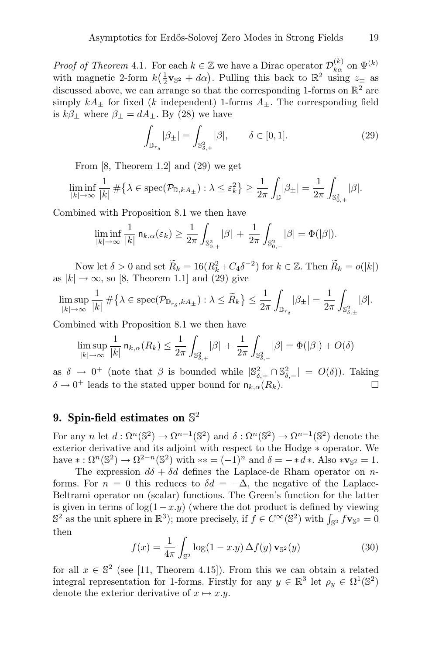*Proof of Theorem 4.1.* For each  $k \in \mathbb{Z}$  we have a Dirac operator  $\mathcal{D}_{k\alpha}^{(k)}$  on  $\Psi^{(k)}$ with magnetic 2-form  $k(\frac{1}{2}\mathbf{v}_{\mathbb{S}^2} + d\alpha)$ . Pulling this back to  $\mathbb{R}^2$  using  $z_{\pm}$  as discussed above, we can arrange so that the corresponding 1-forms on  $\mathbb{R}^2$  are simply  $kA_+$  for fixed (k independent) 1-forms  $A_+$ . The corresponding field is  $k\beta_{\pm}$  where  $\beta_{\pm} = dA_{\pm}$ . By (28) we have

$$
\int_{\mathbb{D}_{r_{\delta}}} |\beta_{\pm}| = \int_{\mathbb{S}^2_{\delta, \pm}} |\beta|, \qquad \delta \in [0, 1]. \tag{29}
$$

From [8, Theorem 1.2] and (29) we get

$$
\liminf_{|k| \to \infty} \frac{1}{|k|} \# \big\{ \lambda \in \text{spec}(\mathcal{P}_{\mathbb{D}, kA_{\pm}}) : \lambda \le \varepsilon_k^2 \big\} \ge \frac{1}{2\pi} \int_{\mathbb{D}} |\beta_{\pm}| = \frac{1}{2\pi} \int_{\mathbb{S}_{0, \pm}^2} |\beta|.
$$

Combined with Proposition 8.1 we then have

$$
\liminf_{|k| \to \infty} \frac{1}{|k|} \, \mathsf{n}_{k,\alpha}(\varepsilon_k) \ge \frac{1}{2\pi} \int_{\mathbb{S}^2_{0,+}} |\beta| \, + \, \frac{1}{2\pi} \int_{\mathbb{S}^2_{0,-}} |\beta| = \Phi(|\beta|).
$$

Now let  $\delta > 0$  and set  $\widetilde{R}_k = 16(R_k^2 + C_4\delta^{-2})$  for  $k \in \mathbb{Z}$ . Then  $\widetilde{R}_k = o(|k|)$ as  $|k| \to \infty$ , so [8, Theorem 1.1] and (29) give

$$
\limsup_{|k| \to \infty} \frac{1}{|k|} \# \big\{ \lambda \in \text{spec}(\mathcal{P}_{\mathbb{D}_{r_{\delta}}, kA_{\pm}}) : \lambda \leq \widetilde{R}_k \big\} \leq \frac{1}{2\pi} \int_{\mathbb{D}_{r_{\delta}}} |\beta_{\pm}| = \frac{1}{2\pi} \int_{\mathbb{S}^2_{\delta, \pm}} |\beta|.
$$

Combined with Proposition 8.1 we then have

$$
\limsup_{|k| \to \infty} \frac{1}{|k|} \, \mathsf{n}_{k,\alpha}(R_k) \le \frac{1}{2\pi} \int_{\mathbb{S}^2_{\delta,+}} |\beta| \, + \, \frac{1}{2\pi} \int_{\mathbb{S}^2_{\delta,-}} |\beta| = \Phi(|\beta|) + O(\delta)
$$

as  $\delta \to 0^+$  (note that  $\beta$  is bounded while  $|\mathbb{S}^2_{\delta,+} \cap \mathbb{S}^2_{\delta,-}| = O(\delta)$ ). Taking  $\delta \to 0^+$  leads to the stated upper bound for  $n_{k,\alpha}(R_k)$ .

## 9. Spin-field estimates on  $\mathbb{S}^2$

For any n let  $d: \Omega^n(\mathbb{S}^2) \to \Omega^{n-1}(\mathbb{S}^2)$  and  $\delta: \Omega^n(\mathbb{S}^2) \to \Omega^{n-1}(\mathbb{S}^2)$  denote the exterior derivative and its adjoint with respect to the Hodge ∗ operator. We have  $*:\Omega^n(\mathbb{S}^2)\to\Omega^{2-n}(\mathbb{S}^2)$  with  $**=(-1)^n$  and  $\delta=-*d*$ . Also  $*\mathbf{v}_{\mathbb{S}^2}=1$ .

The expression  $d\delta + \delta d$  defines the Laplace-de Rham operator on nforms. For  $n = 0$  this reduces to  $\delta d = -\Delta$ , the negative of the Laplace-Beltrami operator on (scalar) functions. The Green's function for the latter is given in terms of  $log(1-x)y$  (where the dot product is defined by viewing  $\mathbb{S}^2$  as the unit sphere in  $\mathbb{R}^3$ ); more precisely, if  $f \in C^\infty(\mathbb{S}^2)$  with  $\int_{\mathbb{S}^2} f \mathbf{v}_{\mathbb{S}^2} = 0$ then

$$
f(x) = \frac{1}{4\pi} \int_{\mathbb{S}^2} \log(1 - x \cdot y) \, \Delta f(y) \, \mathbf{v}_{\mathbb{S}^2}(y) \tag{30}
$$

for all  $x \in \mathbb{S}^2$  (see [11, Theorem 4.15]). From this we can obtain a related integral representation for 1-forms. Firstly for any  $y \in \mathbb{R}^3$  let  $\rho_y \in \Omega^1(\mathbb{S}^2)$ denote the exterior derivative of  $x \mapsto x.y$ .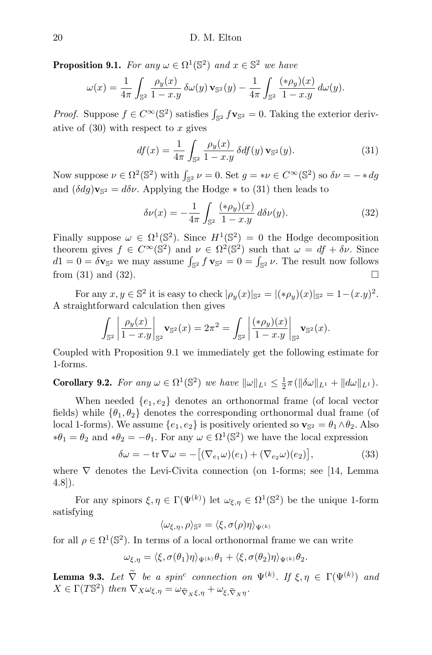**Proposition 9.1.** For any  $\omega \in \Omega^1(\mathbb{S}^2)$  and  $x \in \mathbb{S}^2$  we have

$$
\omega(x) = \frac{1}{4\pi} \int_{\mathbb{S}^2} \frac{\rho_y(x)}{1 - x \cdot y} \, \delta \omega(y) \, \mathbf{v}_{\mathbb{S}^2}(y) - \frac{1}{4\pi} \int_{\mathbb{S}^2} \frac{(\ast \rho_y)(x)}{1 - x \cdot y} \, d\omega(y).
$$

*Proof.* Suppose  $f \in C^{\infty}(\mathbb{S}^2)$  satisfies  $\int_{\mathbb{S}^2} f \mathbf{v}_{\mathbb{S}^2} = 0$ . Taking the exterior derivative of  $(30)$  with respect to x gives

$$
df(x) = \frac{1}{4\pi} \int_{\mathbb{S}^2} \frac{\rho_y(x)}{1 - x \cdot y} \, \delta df(y) \, \mathbf{v}_{\mathbb{S}^2}(y). \tag{31}
$$

Now suppose  $\nu \in \Omega^2(\mathbb{S}^2)$  with  $\int_{\mathbb{S}^2} \nu = 0$ . Set  $g = \nu \in C^\infty(\mathbb{S}^2)$  so  $\delta \nu = -\ast dg$ and  $(\delta dg)\mathbf{v}_{\mathbb{S}^2} = d\delta \nu$ . Applying the Hodge  $*$  to (31) then leads to

$$
\delta \nu(x) = -\frac{1}{4\pi} \int_{\mathbb{S}^2} \frac{(*\rho_y)(x)}{1 - x \cdot y} \, d\delta \nu(y). \tag{32}
$$

Finally suppose  $\omega \in \Omega^1(\mathbb{S}^2)$ . Since  $H^1(\mathbb{S}^2) = 0$  the Hodge decomposition theorem gives  $f \in C^{\infty}(\mathbb{S}^2)$  and  $\nu \in \Omega^2(\mathbb{S}^2)$  such that  $\omega = df + \delta \nu$ . Since  $d1 = 0 = \delta \mathbf{v}_{\mathbb{S}^2}$  we may assume  $\int_{\mathbb{S}^2} f \mathbf{v}_{\mathbb{S}^2} = 0 = \int_{\mathbb{S}^2} \nu$ . The result now follows from (31) and (32).

For any  $x, y \in \mathbb{S}^2$  it is easy to check  $|\rho_y(x)|_{\mathbb{S}^2} = |(*\rho_y)(x)|_{\mathbb{S}^2} = 1 - (x \cdot y)^2$ . A straightforward calculation then gives

$$
\int_{\mathbb{S}^2} \left| \frac{\rho_y(x)}{1 - x \cdot y} \right|_{\mathbb{S}^2} \mathbf{v}_{\mathbb{S}^2}(x) = 2\pi^2 = \int_{\mathbb{S}^2} \left| \frac{(*\rho_y)(x)}{1 - x \cdot y} \right|_{\mathbb{S}^2} \mathbf{v}_{\mathbb{S}^2}(x).
$$

Coupled with Proposition 9.1 we immediately get the following estimate for 1-forms.

**Corollary 9.2.** For any  $\omega \in \Omega^1(\mathbb{S}^2)$  we have  $\|\omega\|_{L^1} \leq \frac{1}{2}\pi(\|\delta\omega\|_{L^1} + \|d\omega\|_{L^1})$ .

When needed  $\{e_1, e_2\}$  denotes an orthonormal frame (of local vector fields) while  $\{\theta_1, \theta_2\}$  denotes the corresponding orthonormal dual frame (of local 1-forms). We assume  $\{e_1, e_2\}$  is positively oriented so  $\mathbf{v}_{\mathbb{S}^2} = \theta_1 \wedge \theta_2$ . Also  $*\theta_1 = \theta_2$  and  $*\theta_2 = -\theta_1$ . For any  $\omega \in \Omega^1(\mathbb{S}^2)$  we have the local expression

$$
\delta\omega = -\operatorname{tr}\nabla\omega = -\big[ (\nabla_{e_1}\omega)(e_1) + (\nabla_{e_2}\omega)(e_2) \big],\tag{33}
$$

where  $\nabla$  denotes the Levi-Civita connection (on 1-forms; see [14, Lemma 4.8]).

For any spinors  $\xi, \eta \in \Gamma(\Psi^{(k)})$  let  $\omega_{\xi, \eta} \in \Omega^1(\mathbb{S}^2)$  be the unique 1-form satisfying

$$
\langle \omega_{\xi,\eta}, \rho \rangle_{\mathbb{S}^2} = \langle \xi, \sigma(\rho) \eta \rangle_{\Psi^{(k)}}
$$

for all  $\rho \in \Omega^1(\mathbb{S}^2)$ . In terms of a local orthonormal frame we can write

$$
\omega_{\xi,\eta} = \langle \xi, \sigma(\theta_1)\eta \rangle_{\Psi^{(k)}} \theta_1 + \langle \xi, \sigma(\theta_2)\eta \rangle_{\Psi^{(k)}} \theta_2.
$$

**Lemma 9.3.** Let  $\overline{V}$  be a spin<sup>c</sup> connection on  $\Psi^{(k)}$ . If  $\xi, \eta \in \Gamma(\Psi^{(k)})$  and  $X \in \Gamma(T\mathbb{S}^2)$  then  $\nabla_X \omega_{\xi,\eta} = \omega_{\widetilde{\nabla}_X \xi,\eta} + \omega_{\xi,\widetilde{\nabla}_X \eta}$ .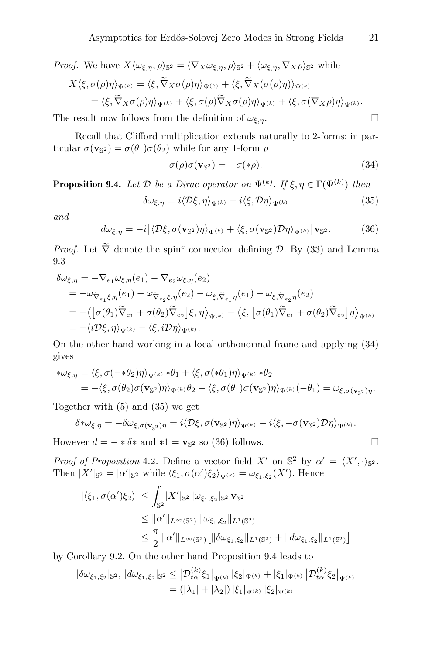*Proof.* We have  $X \langle \omega_{\xi,\eta}, \rho \rangle_{\mathbb{S}^2} = \langle \nabla_X \omega_{\xi,\eta}, \rho \rangle_{\mathbb{S}^2} + \langle \omega_{\xi,\eta}, \nabla_X \rho \rangle_{\mathbb{S}^2}$  while  $X\langle \xi, \sigma(\rho)\eta \rangle_{\Psi^{(k)}} = \langle \xi, \widetilde{\nabla}_X \sigma(\rho)\eta \rangle_{\Psi^{(k)}} + \langle \xi, \widetilde{\nabla}_X(\sigma(\rho)\eta) \rangle_{\Psi^{(k)}}$  $=\langle \xi, \widetilde{\nabla}_X \sigma(\rho) \eta \rangle_{\Psi(k)} + \langle \xi, \sigma(\rho) \widetilde{\nabla}_X \sigma(\rho) \eta \rangle_{\Psi(k)} + \langle \xi, \sigma(\nabla_X \rho) \eta \rangle_{\Psi(k)} .$ 

The result now follows from the definition of  $\omega_{\xi,n}$ .

Recall that Clifford multiplication extends naturally to 2-forms; in particular  $\sigma(\mathbf{v}_{\mathbb{S}^2}) = \sigma(\theta_1)\sigma(\theta_2)$  while for any 1-form  $\rho$ 

$$
\sigma(\rho)\sigma(\mathbf{v}_{\mathbb{S}^2}) = -\sigma(*\rho). \tag{34}
$$

**Proposition 9.4.** Let  $\mathcal{D}$  be a Dirac operator on  $\Psi^{(k)}$ . If  $\xi, \eta \in \Gamma(\Psi^{(k)})$  then

$$
\delta\omega_{\xi,\eta} = i \langle \mathcal{D}\xi, \eta \rangle_{\Psi^{(k)}} - i \langle \xi, \mathcal{D}\eta \rangle_{\Psi^{(k)}} \tag{35}
$$

and

$$
d\omega_{\xi,\eta} = -i\big[\langle \mathcal{D}\xi, \sigma(\mathbf{v}_{\mathbb{S}^2})\eta \rangle_{\Psi^{(k)}} + \langle \xi, \sigma(\mathbf{v}_{\mathbb{S}^2})\mathcal{D}\eta \rangle_{\Psi^{(k)}}\big] \mathbf{v}_{\mathbb{S}^2}.
$$
 (36)

*Proof.* Let  $\nabla$  denote the spin<sup>c</sup> connection defining  $\mathcal{D}$ . By (33) and Lemma 9.3

$$
\delta\omega_{\xi,\eta} = -\nabla_{e_1}\omega_{\xi,\eta}(e_1) - \nabla_{e_2}\omega_{\xi,\eta}(e_2)
$$
  
\n
$$
= -\omega_{\widetilde{\nabla}_{e_1}\xi,\eta}(e_1) - \omega_{\widetilde{\nabla}_{e_2}\xi,\eta}(e_2) - \omega_{\xi,\widetilde{\nabla}_{e_1}\eta}(e_1) - \omega_{\xi,\widetilde{\nabla}_{e_2}\eta}(e_2)
$$
  
\n
$$
= -\langle [\sigma(\theta_1)\widetilde{\nabla}_{e_1} + \sigma(\theta_2)\widetilde{\nabla}_{e_2}] \xi, \eta \rangle_{\Psi^{(k)}} - \langle \xi, [\sigma(\theta_1)\widetilde{\nabla}_{e_1} + \sigma(\theta_2)\widetilde{\nabla}_{e_2}] \eta \rangle_{\Psi^{(k)}}
$$
  
\n
$$
= -\langle i\mathcal{D}\xi, \eta \rangle_{\Psi^{(k)}} - \langle \xi, i\mathcal{D}\eta \rangle_{\Psi^{(k)}}.
$$

On the other hand working in a local orthonormal frame and applying (34) gives

$$
\begin{split} * \omega_{\xi,\eta} &= \langle \xi, \sigma(-*\theta_2) \eta \rangle_{\Psi^{(k)}} * \theta_1 + \langle \xi, \sigma(*\theta_1) \eta \rangle_{\Psi^{(k)}} * \theta_2 \\ &= -\langle \xi, \sigma(\theta_2) \sigma(\mathbf{v}_{\mathbb{S}^2}) \eta \rangle_{\Psi^{(k)}} \theta_2 + \langle \xi, \sigma(\theta_1) \sigma(\mathbf{v}_{\mathbb{S}^2}) \eta \rangle_{\Psi^{(k)}} (-\theta_1) = \omega_{\xi,\sigma(\mathbf{v}_{\mathbb{S}^2})\eta}. \end{split}
$$

Together with (5) and (35) we get

$$
\delta*\omega_{\xi,\eta}=-\delta\omega_{\xi,\sigma(\mathbf{v}_{\mathbb{S}^2})\eta}=i\langle\mathcal{D}\xi,\sigma(\mathbf{v}_{\mathbb{S}^2})\eta\rangle_{\Psi^{(k)}}-i\langle\xi,-\sigma(\mathbf{v}_{\mathbb{S}^2})\mathcal{D}\eta\rangle_{\Psi^{(k)}}.
$$

However  $d = -\ast \delta \ast$  and  $\ast 1 = \mathbf{v}_{\mathbb{S}^2}$  so (36) follows.

Proof of Proposition 4.2. Define a vector field X' on  $\mathbb{S}^2$  by  $\alpha' = \langle X', \cdot \rangle_{\mathbb{S}^2}$ . Then  $|X'|_{\mathbb{S}^2} = |\alpha'|_{\mathbb{S}^2}$  while  $\langle \xi_1, \sigma(\alpha') \xi_2 \rangle_{\Psi^{(k)}} = \omega_{\xi_1, \xi_2}(X')$ . Hence

$$
|\langle \xi_1, \sigma(\alpha') \xi_2 \rangle| \leq \int_{\mathbb{S}^2} |X'|_{\mathbb{S}^2} |\omega_{\xi_1, \xi_2}|_{\mathbb{S}^2} \mathbf{v}_{\mathbb{S}^2}
$$
  
\n
$$
\leq ||\alpha'||_{L^{\infty}(\mathbb{S}^2)} ||\omega_{\xi_1, \xi_2}||_{L^1(\mathbb{S}^2)}
$$
  
\n
$$
\leq \frac{\pi}{2} ||\alpha'||_{L^{\infty}(\mathbb{S}^2)} [||\delta \omega_{\xi_1, \xi_2}||_{L^1(\mathbb{S}^2)} + ||d \omega_{\xi_1, \xi_2}||_{L^1(\mathbb{S}^2)}]
$$

by Corollary 9.2. On the other hand Proposition 9.4 leads to

$$
\begin{aligned} |\delta\omega_{\xi_1,\xi_2}|_{\mathbb{S}^2}, |d\omega_{\xi_1,\xi_2}|_{\mathbb{S}^2} &\leq |\mathcal{D}^{(k)}_{t\alpha}\xi_1|_{\Psi^{(k)}} |\xi_2|_{\Psi^{(k)}} + |\xi_1|_{\Psi^{(k)}} |\mathcal{D}^{(k)}_{t\alpha}\xi_2|_{\Psi^{(k)}}\\ &= (|\lambda_1| + |\lambda_2|) |\xi_1|_{\Psi^{(k)}} |\xi_2|_{\Psi^{(k)}} \end{aligned}
$$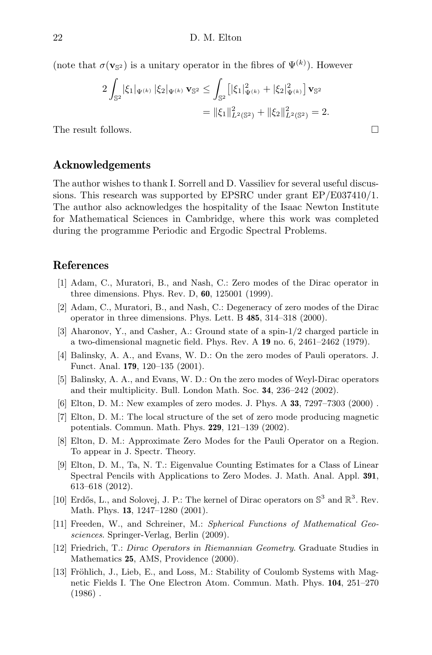(note that  $\sigma(\mathbf{v}_{\mathbb{S}^2})$  is a unitary operator in the fibres of  $\Psi^{(k)}$ ). However

$$
2\int_{\mathbb{S}^2} |\xi_1|_{\Psi^{(k)}} |\xi_2|_{\Psi^{(k)}} \mathbf{v}_{\mathbb{S}^2} \le \int_{\mathbb{S}^2} \left[ |\xi_1|_{\Psi^{(k)}}^2 + |\xi_2|_{\Psi^{(k)}}^2 \right] \mathbf{v}_{\mathbb{S}^2}
$$
  
=  $||\xi_1||_{L^2(\mathbb{S}^2)}^2 + ||\xi_2||_{L^2(\mathbb{S}^2)}^2 = 2.$ 

The result follows.

#### Acknowledgements

The author wishes to thank I. Sorrell and D. Vassiliev for several useful discussions. This research was supported by EPSRC under grant EP/E037410/1. The author also acknowledges the hospitality of the Isaac Newton Institute for Mathematical Sciences in Cambridge, where this work was completed during the programme Periodic and Ergodic Spectral Problems.

#### References

- [1] Adam, C., Muratori, B., and Nash, C.: Zero modes of the Dirac operator in three dimensions. Phys. Rev. D, 60, 125001 (1999).
- [2] Adam, C., Muratori, B., and Nash, C.: Degeneracy of zero modes of the Dirac operator in three dimensions. Phys. Lett. B 485, 314–318 (2000).
- [3] Aharonov, Y., and Casher, A.: Ground state of a spin-1/2 charged particle in a two-dimensional magnetic field. Phys. Rev. A 19 no. 6, 2461–2462 (1979).
- [4] Balinsky, A. A., and Evans, W. D.: On the zero modes of Pauli operators. J. Funct. Anal. 179, 120–135 (2001).
- [5] Balinsky, A. A., and Evans, W. D.: On the zero modes of Weyl-Dirac operators and their multiplicity. Bull. London Math. Soc. 34, 236–242 (2002).
- [6] Elton, D. M.: New examples of zero modes. J. Phys. A 33, 7297–7303 (2000) .
- [7] Elton, D. M.: The local structure of the set of zero mode producing magnetic potentials. Commun. Math. Phys. 229, 121–139 (2002).
- [8] Elton, D. M.: Approximate Zero Modes for the Pauli Operator on a Region. To appear in J. Spectr. Theory.
- [9] Elton, D. M., Ta, N. T.: Eigenvalue Counting Estimates for a Class of Linear Spectral Pencils with Applications to Zero Modes. J. Math. Anal. Appl. 391, 613–618 (2012).
- [10] Erdős, L., and Solovej, J. P.: The kernel of Dirac operators on  $\mathbb{S}^3$  and  $\mathbb{R}^3$ . Rev. Math. Phys. 13, 1247–1280 (2001).
- [11] Freeden, W., and Schreiner, M.: Spherical Functions of Mathematical Geosciences. Springer-Verlag, Berlin (2009).
- [12] Friedrich, T.: Dirac Operators in Riemannian Geometry. Graduate Studies in Mathematics 25, AMS, Providence (2000).
- [13] Fröhlich, J., Lieb, E., and Loss, M.: Stability of Coulomb Systems with Magnetic Fields I. The One Electron Atom. Commun. Math. Phys. 104, 251–270  $(1986)$ .